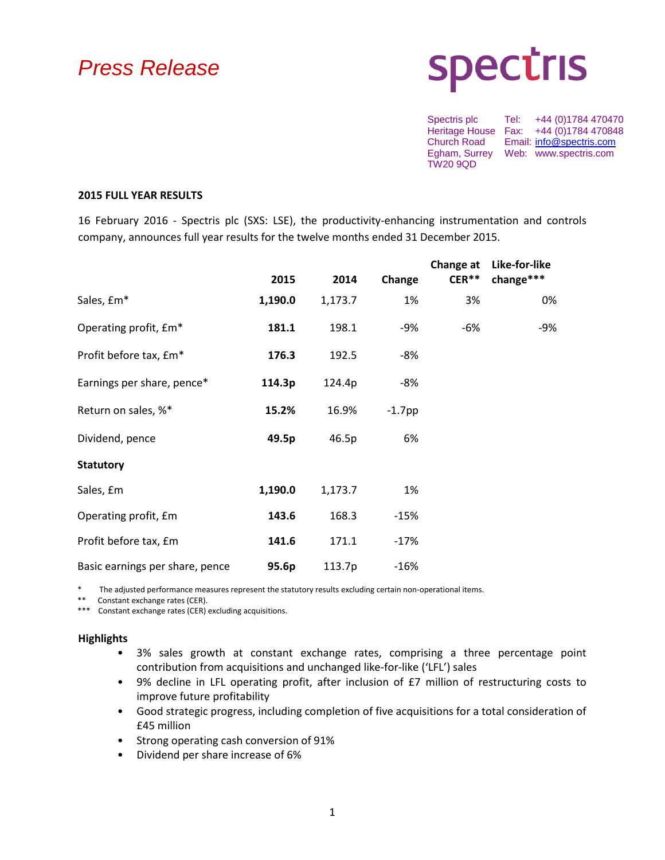# *Press Release*

# **spectris**

Spectris plc Tel: +44 (0)1784 470470 Heritage House Fax: +44 (0)1784 470848<br>Church Road Email: info@spectris.com Church Road Email: [info@spectris.com](mailto:info@spectris.com) Egham, Surrey Web: www.spectris.com TW20 9QD

#### **2015 FULL YEAR RESULTS**

16 February 2016 - Spectris plc (SXS: LSE), the productivity-enhancing instrumentation and controls company, announces full year results for the twelve months ended 31 December 2015.

|                                 | 2015    | 2014    | Change    | Change at<br>$CER**$ | Like-for-like<br>change*** |
|---------------------------------|---------|---------|-----------|----------------------|----------------------------|
| Sales, £m*                      | 1,190.0 | 1,173.7 | 1%        | 3%                   | 0%                         |
| Operating profit, £m*           | 181.1   | 198.1   | -9%       | -6%                  | -9%                        |
| Profit before tax, £m*          | 176.3   | 192.5   | -8%       |                      |                            |
| Earnings per share, pence*      | 114.3p  | 124.4p  | $-8%$     |                      |                            |
| Return on sales, %*             | 15.2%   | 16.9%   | $-1.7$ pp |                      |                            |
| Dividend, pence                 | 49.5p   | 46.5p   | 6%        |                      |                            |
| <b>Statutory</b>                |         |         |           |                      |                            |
| Sales, £m                       | 1,190.0 | 1,173.7 | 1%        |                      |                            |
| Operating profit, £m            | 143.6   | 168.3   | -15%      |                      |                            |
| Profit before tax, £m           | 141.6   | 171.1   | $-17%$    |                      |                            |
| Basic earnings per share, pence | 95.6p   | 113.7p  | $-16%$    |                      |                            |

The adjusted performance measures represent the statutory results excluding certain non-operational items.

\*\* Constant exchange rates (CER).

\*\*\* Constant exchange rates (CER) excluding acquisitions.

#### **Highlights**

- 3% sales growth at constant exchange rates, comprising a three percentage point contribution from acquisitions and unchanged like-for-like ('LFL') sales
- 9% decline in LFL operating profit, after inclusion of £7 million of restructuring costs to improve future profitability
- Good strategic progress, including completion of five acquisitions for a total consideration of £45 million
- Strong operating cash conversion of 91%
- Dividend per share increase of 6%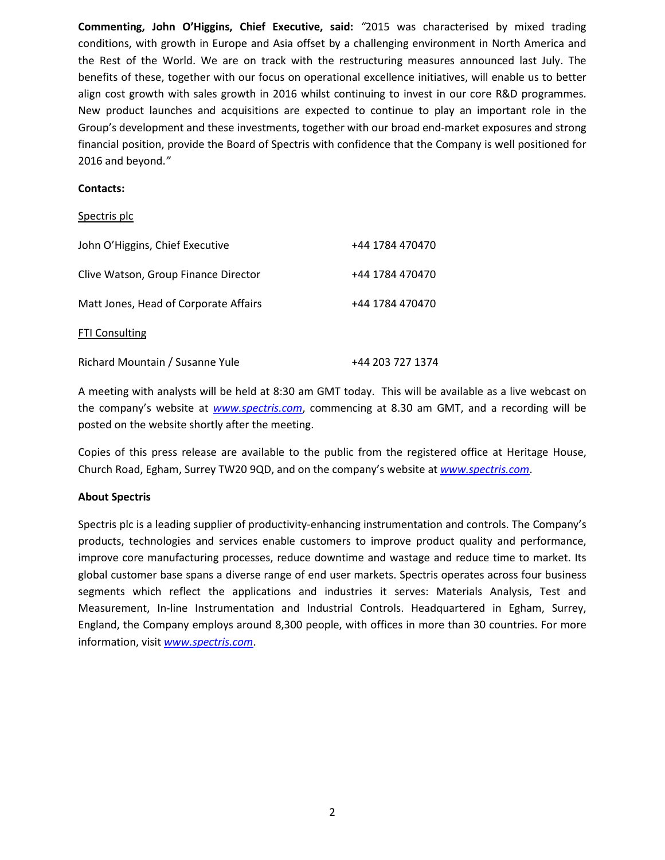**Commenting, John O'Higgins, Chief Executive, said:** *"*2015 was characterised by mixed trading conditions, with growth in Europe and Asia offset by a challenging environment in North America and the Rest of the World. We are on track with the restructuring measures announced last July. The benefits of these, together with our focus on operational excellence initiatives, will enable us to better align cost growth with sales growth in 2016 whilst continuing to invest in our core R&D programmes. New product launches and acquisitions are expected to continue to play an important role in the Group's development and these investments, together with our broad end-market exposures and strong financial position, provide the Board of Spectris with confidence that the Company is well positioned for 2016 and beyond.*"*

#### **Contacts:**

#### Spectris plc

| John O'Higgins, Chief Executive       | +44 1784 470470  |
|---------------------------------------|------------------|
| Clive Watson, Group Finance Director  | +44 1784 470470  |
| Matt Jones, Head of Corporate Affairs | +44 1784 470470  |
| <b>FTI Consulting</b>                 |                  |
| Richard Mountain / Susanne Yule       | +44 203 727 1374 |

A meeting with analysts will be held at 8:30 am GMT today. This will be available as a live webcast on the company's website at *[www.spectris.com](http://www.spectris.com/)*, commencing at 8.30 am GMT, and a recording will be posted on the website shortly after the meeting.

Copies of this press release are available to the public from the registered office at Heritage House, Church Road, Egham, Surrey TW20 9QD, and on the company's website at *[www.spectris.com](http://www.spectris.com/)*.

#### **About Spectris**

Spectris plc is a leading supplier of productivity-enhancing instrumentation and controls. The Company's products, technologies and services enable customers to improve product quality and performance, improve core manufacturing processes, reduce downtime and wastage and reduce time to market. Its global customer base spans a diverse range of end user markets. Spectris operates across four business segments which reflect the applications and industries it serves: Materials Analysis, Test and Measurement, In-line Instrumentation and Industrial Controls. Headquartered in Egham, Surrey, England, the Company employs around 8,300 people, with offices in more than 30 countries. For more information, visit *[www.spectris.com](http://www.spectris.com/)*.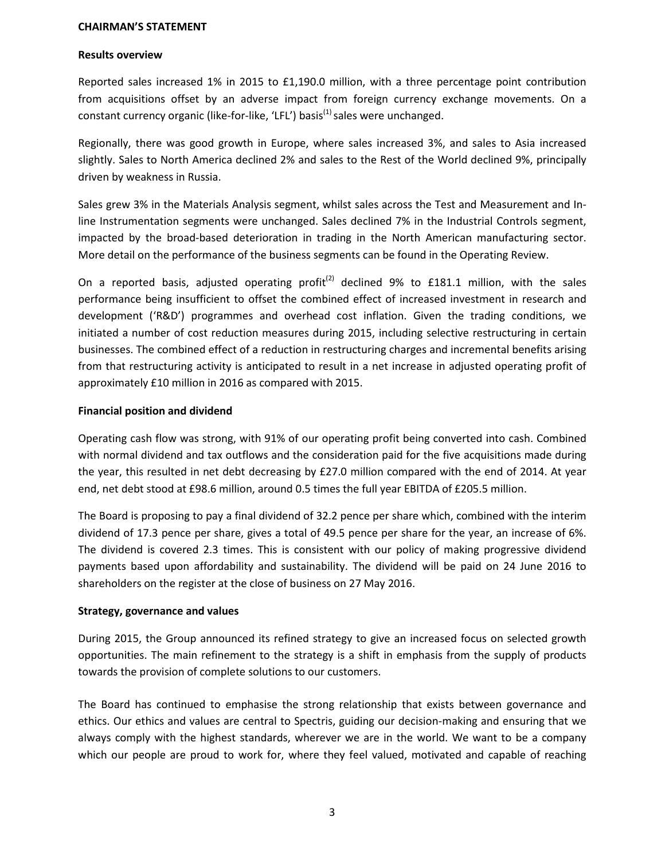#### **CHAIRMAN'S STATEMENT**

#### **Results overview**

Reported sales increased 1% in 2015 to £1,190.0 million, with a three percentage point contribution from acquisitions offset by an adverse impact from foreign currency exchange movements. On a constant currency organic (like-for-like, 'LFL') basis<sup>(1)</sup> sales were unchanged.

Regionally, there was good growth in Europe, where sales increased 3%, and sales to Asia increased slightly. Sales to North America declined 2% and sales to the Rest of the World declined 9%, principally driven by weakness in Russia.

Sales grew 3% in the Materials Analysis segment, whilst sales across the Test and Measurement and Inline Instrumentation segments were unchanged. Sales declined 7% in the Industrial Controls segment, impacted by the broad-based deterioration in trading in the North American manufacturing sector. More detail on the performance of the business segments can be found in the Operating Review.

On a reported basis, adjusted operating profit<sup>(2)</sup> declined 9% to £181.1 million, with the sales performance being insufficient to offset the combined effect of increased investment in research and development ('R&D') programmes and overhead cost inflation. Given the trading conditions, we initiated a number of cost reduction measures during 2015, including selective restructuring in certain businesses. The combined effect of a reduction in restructuring charges and incremental benefits arising from that restructuring activity is anticipated to result in a net increase in adjusted operating profit of approximately £10 million in 2016 as compared with 2015.

#### **Financial position and dividend**

Operating cash flow was strong, with 91% of our operating profit being converted into cash. Combined with normal dividend and tax outflows and the consideration paid for the five acquisitions made during the year, this resulted in net debt decreasing by £27.0 million compared with the end of 2014. At year end, net debt stood at £98.6 million, around 0.5 times the full year EBITDA of £205.5 million.

The Board is proposing to pay a final dividend of 32.2 pence per share which, combined with the interim dividend of 17.3 pence per share, gives a total of 49.5 pence per share for the year, an increase of 6%. The dividend is covered 2.3 times. This is consistent with our policy of making progressive dividend payments based upon affordability and sustainability. The dividend will be paid on 24 June 2016 to shareholders on the register at the close of business on 27 May 2016.

#### **Strategy, governance and values**

During 2015, the Group announced its refined strategy to give an increased focus on selected growth opportunities. The main refinement to the strategy is a shift in emphasis from the supply of products towards the provision of complete solutions to our customers.

The Board has continued to emphasise the strong relationship that exists between governance and ethics. Our ethics and values are central to Spectris, guiding our decision-making and ensuring that we always comply with the highest standards, wherever we are in the world. We want to be a company which our people are proud to work for, where they feel valued, motivated and capable of reaching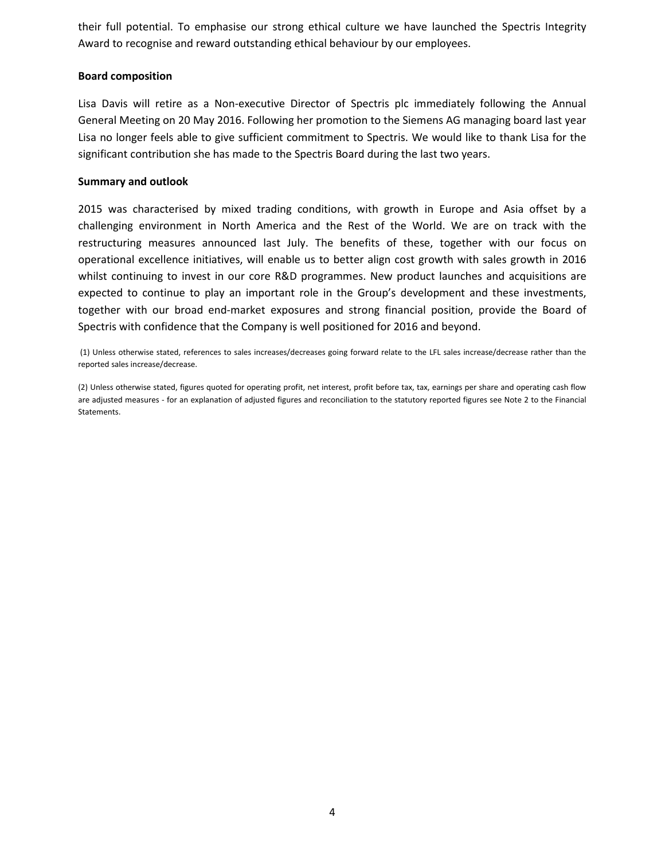their full potential. To emphasise our strong ethical culture we have launched the Spectris Integrity Award to recognise and reward outstanding ethical behaviour by our employees.

#### **Board composition**

Lisa Davis will retire as a Non-executive Director of Spectris plc immediately following the Annual General Meeting on 20 May 2016. Following her promotion to the Siemens AG managing board last year Lisa no longer feels able to give sufficient commitment to Spectris. We would like to thank Lisa for the significant contribution she has made to the Spectris Board during the last two years.

#### **Summary and outlook**

2015 was characterised by mixed trading conditions, with growth in Europe and Asia offset by a challenging environment in North America and the Rest of the World. We are on track with the restructuring measures announced last July. The benefits of these, together with our focus on operational excellence initiatives, will enable us to better align cost growth with sales growth in 2016 whilst continuing to invest in our core R&D programmes. New product launches and acquisitions are expected to continue to play an important role in the Group's development and these investments, together with our broad end-market exposures and strong financial position, provide the Board of Spectris with confidence that the Company is well positioned for 2016 and beyond.

(1) Unless otherwise stated, references to sales increases/decreases going forward relate to the LFL sales increase/decrease rather than the reported sales increase/decrease.

(2) Unless otherwise stated, figures quoted for operating profit, net interest, profit before tax, tax, earnings per share and operating cash flow are adjusted measures - for an explanation of adjusted figures and reconciliation to the statutory reported figures see Note 2 to the Financial Statements.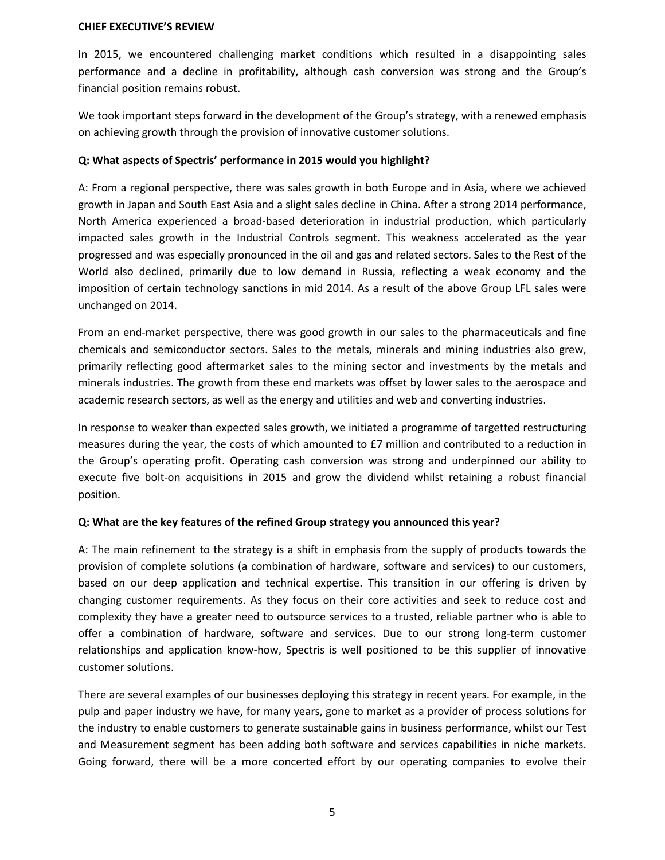#### **CHIEF EXECUTIVE'S REVIEW**

In 2015, we encountered challenging market conditions which resulted in a disappointing sales performance and a decline in profitability, although cash conversion was strong and the Group's financial position remains robust.

We took important steps forward in the development of the Group's strategy, with a renewed emphasis on achieving growth through the provision of innovative customer solutions.

#### **Q: What aspects of Spectris' performance in 2015 would you highlight?**

A: From a regional perspective, there was sales growth in both Europe and in Asia, where we achieved growth in Japan and South East Asia and a slight sales decline in China. After a strong 2014 performance, North America experienced a broad-based deterioration in industrial production, which particularly impacted sales growth in the Industrial Controls segment. This weakness accelerated as the year progressed and was especially pronounced in the oil and gas and related sectors. Sales to the Rest of the World also declined, primarily due to low demand in Russia, reflecting a weak economy and the imposition of certain technology sanctions in mid 2014. As a result of the above Group LFL sales were unchanged on 2014.

From an end-market perspective, there was good growth in our sales to the pharmaceuticals and fine chemicals and semiconductor sectors. Sales to the metals, minerals and mining industries also grew, primarily reflecting good aftermarket sales to the mining sector and investments by the metals and minerals industries. The growth from these end markets was offset by lower sales to the aerospace and academic research sectors, as well as the energy and utilities and web and converting industries.

In response to weaker than expected sales growth, we initiated a programme of targetted restructuring measures during the year, the costs of which amounted to £7 million and contributed to a reduction in the Group's operating profit. Operating cash conversion was strong and underpinned our ability to execute five bolt-on acquisitions in 2015 and grow the dividend whilst retaining a robust financial position.

#### **Q: What are the key features of the refined Group strategy you announced this year?**

A: The main refinement to the strategy is a shift in emphasis from the supply of products towards the provision of complete solutions (a combination of hardware, software and services) to our customers, based on our deep application and technical expertise. This transition in our offering is driven by changing customer requirements. As they focus on their core activities and seek to reduce cost and complexity they have a greater need to outsource services to a trusted, reliable partner who is able to offer a combination of hardware, software and services. Due to our strong long-term customer relationships and application know-how, Spectris is well positioned to be this supplier of innovative customer solutions.

There are several examples of our businesses deploying this strategy in recent years. For example, in the pulp and paper industry we have, for many years, gone to market as a provider of process solutions for the industry to enable customers to generate sustainable gains in business performance, whilst our Test and Measurement segment has been adding both software and services capabilities in niche markets. Going forward, there will be a more concerted effort by our operating companies to evolve their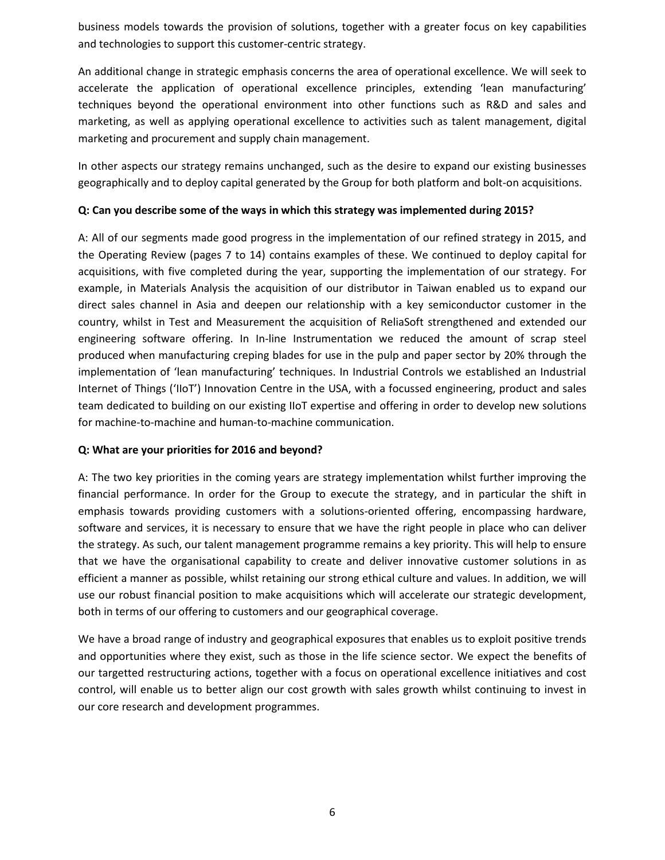business models towards the provision of solutions, together with a greater focus on key capabilities and technologies to support this customer-centric strategy.

An additional change in strategic emphasis concerns the area of operational excellence. We will seek to accelerate the application of operational excellence principles, extending 'lean manufacturing' techniques beyond the operational environment into other functions such as R&D and sales and marketing, as well as applying operational excellence to activities such as talent management, digital marketing and procurement and supply chain management.

In other aspects our strategy remains unchanged, such as the desire to expand our existing businesses geographically and to deploy capital generated by the Group for both platform and bolt-on acquisitions.

#### **Q: Can you describe some of the ways in which this strategy was implemented during 2015?**

A: All of our segments made good progress in the implementation of our refined strategy in 2015, and the Operating Review (pages 7 to 14) contains examples of these. We continued to deploy capital for acquisitions, with five completed during the year, supporting the implementation of our strategy. For example, in Materials Analysis the acquisition of our distributor in Taiwan enabled us to expand our direct sales channel in Asia and deepen our relationship with a key semiconductor customer in the country, whilst in Test and Measurement the acquisition of ReliaSoft strengthened and extended our engineering software offering. In In-line Instrumentation we reduced the amount of scrap steel produced when manufacturing creping blades for use in the pulp and paper sector by 20% through the implementation of 'lean manufacturing' techniques. In Industrial Controls we established an Industrial Internet of Things ('IIoT') Innovation Centre in the USA, with a focussed engineering, product and sales team dedicated to building on our existing IIoT expertise and offering in order to develop new solutions for machine-to-machine and human-to-machine communication.

#### **Q: What are your priorities for 2016 and beyond?**

A: The two key priorities in the coming years are strategy implementation whilst further improving the financial performance. In order for the Group to execute the strategy, and in particular the shift in emphasis towards providing customers with a solutions-oriented offering, encompassing hardware, software and services, it is necessary to ensure that we have the right people in place who can deliver the strategy. As such, our talent management programme remains a key priority. This will help to ensure that we have the organisational capability to create and deliver innovative customer solutions in as efficient a manner as possible, whilst retaining our strong ethical culture and values. In addition, we will use our robust financial position to make acquisitions which will accelerate our strategic development, both in terms of our offering to customers and our geographical coverage.

We have a broad range of industry and geographical exposures that enables us to exploit positive trends and opportunities where they exist, such as those in the life science sector. We expect the benefits of our targetted restructuring actions, together with a focus on operational excellence initiatives and cost control, will enable us to better align our cost growth with sales growth whilst continuing to invest in our core research and development programmes.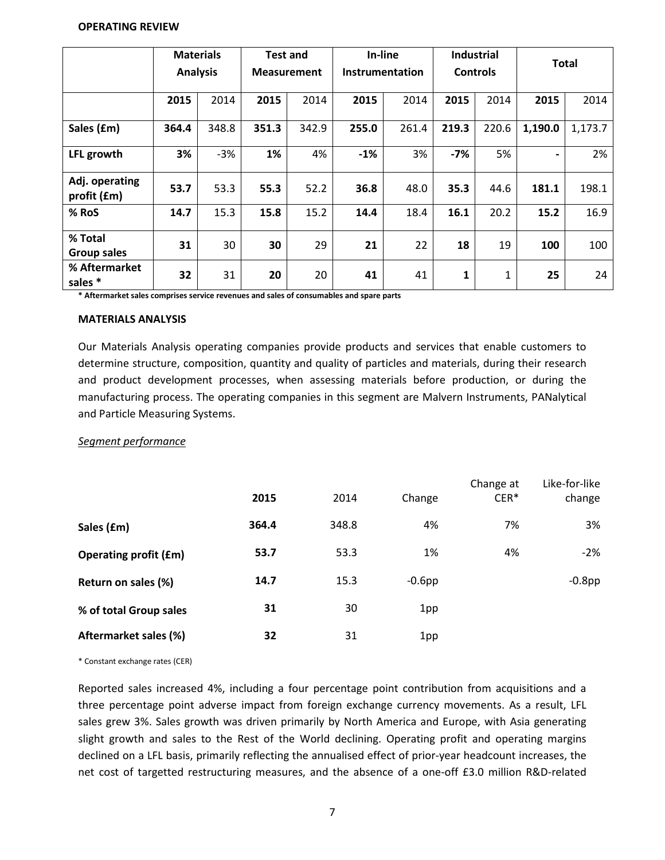#### **OPERATING REVIEW**

|                               | <b>Analysis</b> | <b>Materials</b> |       | <b>Test and</b><br><b>Measurement</b> | In-line<br>Instrumentation |       | <b>Industrial</b><br><b>Controls</b> |       |                          | <b>Total</b> |
|-------------------------------|-----------------|------------------|-------|---------------------------------------|----------------------------|-------|--------------------------------------|-------|--------------------------|--------------|
|                               | 2015            | 2014             | 2015  | 2014                                  | 2015                       | 2014  | 2015                                 | 2014  | 2015                     | 2014         |
| Sales (£m)                    | 364.4           | 348.8            | 351.3 | 342.9                                 | 255.0                      | 261.4 | 219.3                                | 220.6 | 1,190.0                  | 1,173.7      |
| LFL growth                    | 3%              | $-3%$            | 1%    | 4%                                    | $-1%$                      | 3%    | $-7%$                                | 5%    | $\overline{\phantom{0}}$ | 2%           |
| Adj. operating<br>profit (£m) | 53.7            | 53.3             | 55.3  | 52.2                                  | 36.8                       | 48.0  | 35.3                                 | 44.6  | 181.1                    | 198.1        |
| % RoS                         | 14.7            | 15.3             | 15.8  | 15.2                                  | 14.4                       | 18.4  | 16.1                                 | 20.2  | 15.2                     | 16.9         |
| % Total<br><b>Group sales</b> | 31              | 30               | 30    | 29                                    | 21                         | 22    | 18                                   | 19    | 100                      | 100          |
| % Aftermarket<br>sales *      | 32              | 31               | 20    | 20                                    | 41                         | 41    | 1                                    | 1     | 25                       | 24           |

**\* Aftermarket sales comprises service revenues and sales of consumables and spare parts**

#### **MATERIALS ANALYSIS**

Our Materials Analysis operating companies provide products and services that enable customers to determine structure, composition, quantity and quality of particles and materials, during their research and product development processes, when assessing materials before production, or during the manufacturing process. The operating companies in this segment are Malvern Instruments, PANalytical and Particle Measuring Systems.

#### *Segment performance*

|                              | 2015  | 2014  | Change    | Change at<br>$CER*$ | Like-for-like<br>change |
|------------------------------|-------|-------|-----------|---------------------|-------------------------|
| Sales (£m)                   | 364.4 | 348.8 | 4%        | 7%                  | 3%                      |
| <b>Operating profit (£m)</b> | 53.7  | 53.3  | 1%        | 4%                  | $-2%$                   |
| Return on sales (%)          | 14.7  | 15.3  | $-0.6$ pp |                     | $-0.8$ pp               |
| % of total Group sales       | 31    | 30    | 1pp       |                     |                         |
| Aftermarket sales (%)        | 32    | 31    | 1pp       |                     |                         |

\* Constant exchange rates (CER)

Reported sales increased 4%, including a four percentage point contribution from acquisitions and a three percentage point adverse impact from foreign exchange currency movements. As a result, LFL sales grew 3%. Sales growth was driven primarily by North America and Europe, with Asia generating slight growth and sales to the Rest of the World declining. Operating profit and operating margins declined on a LFL basis, primarily reflecting the annualised effect of prior-year headcount increases, the net cost of targetted restructuring measures, and the absence of a one-off £3.0 million R&D-related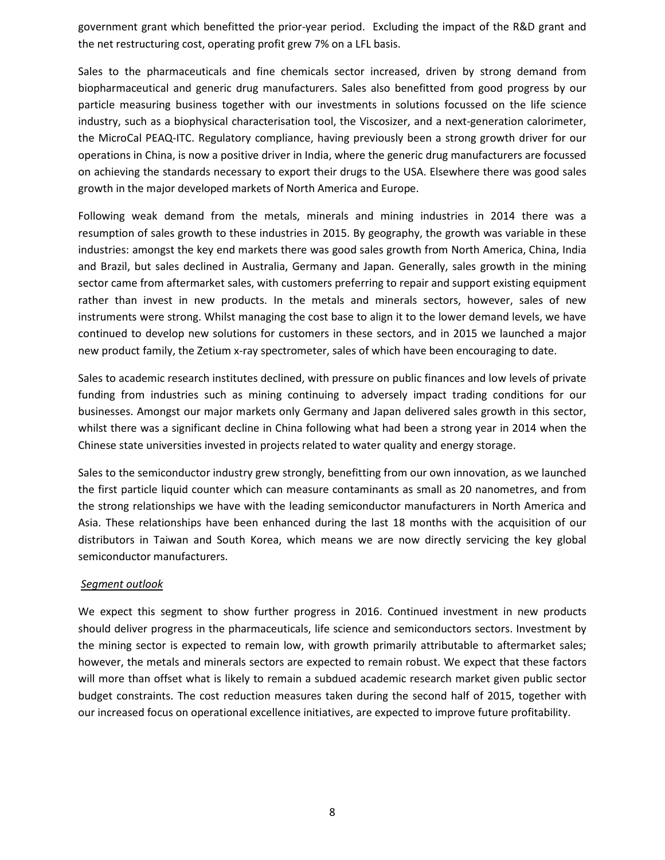government grant which benefitted the prior-year period. Excluding the impact of the R&D grant and the net restructuring cost, operating profit grew 7% on a LFL basis.

Sales to the pharmaceuticals and fine chemicals sector increased, driven by strong demand from biopharmaceutical and generic drug manufacturers. Sales also benefitted from good progress by our particle measuring business together with our investments in solutions focussed on the life science industry, such as a biophysical characterisation tool, the Viscosizer, and a next-generation calorimeter, the MicroCal PEAQ-ITC. Regulatory compliance, having previously been a strong growth driver for our operations in China, is now a positive driver in India, where the generic drug manufacturers are focussed on achieving the standards necessary to export their drugs to the USA. Elsewhere there was good sales growth in the major developed markets of North America and Europe.

Following weak demand from the metals, minerals and mining industries in 2014 there was a resumption of sales growth to these industries in 2015. By geography, the growth was variable in these industries: amongst the key end markets there was good sales growth from North America, China, India and Brazil, but sales declined in Australia, Germany and Japan. Generally, sales growth in the mining sector came from aftermarket sales, with customers preferring to repair and support existing equipment rather than invest in new products. In the metals and minerals sectors, however, sales of new instruments were strong. Whilst managing the cost base to align it to the lower demand levels, we have continued to develop new solutions for customers in these sectors, and in 2015 we launched a major new product family, the Zetium x-ray spectrometer, sales of which have been encouraging to date.

Sales to academic research institutes declined, with pressure on public finances and low levels of private funding from industries such as mining continuing to adversely impact trading conditions for our businesses. Amongst our major markets only Germany and Japan delivered sales growth in this sector, whilst there was a significant decline in China following what had been a strong year in 2014 when the Chinese state universities invested in projects related to water quality and energy storage.

Sales to the semiconductor industry grew strongly, benefitting from our own innovation, as we launched the first particle liquid counter which can measure contaminants as small as 20 nanometres, and from the strong relationships we have with the leading semiconductor manufacturers in North America and Asia. These relationships have been enhanced during the last 18 months with the acquisition of our distributors in Taiwan and South Korea, which means we are now directly servicing the key global semiconductor manufacturers.

#### *Segment outlook*

We expect this segment to show further progress in 2016. Continued investment in new products should deliver progress in the pharmaceuticals, life science and semiconductors sectors. Investment by the mining sector is expected to remain low, with growth primarily attributable to aftermarket sales; however, the metals and minerals sectors are expected to remain robust. We expect that these factors will more than offset what is likely to remain a subdued academic research market given public sector budget constraints. The cost reduction measures taken during the second half of 2015, together with our increased focus on operational excellence initiatives, are expected to improve future profitability.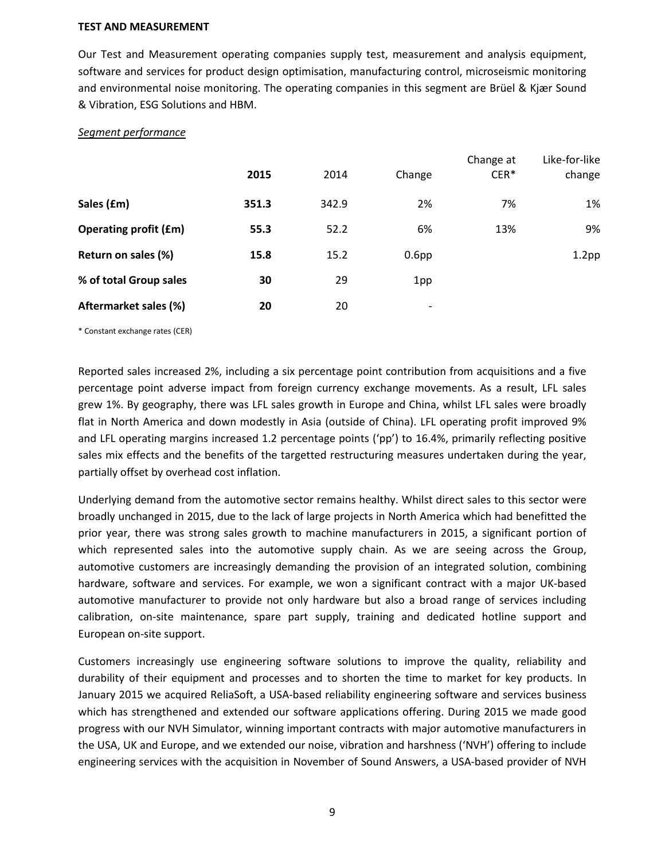#### **TEST AND MEASUREMENT**

Our Test and Measurement operating companies supply test, measurement and analysis equipment, software and services for product design optimisation, manufacturing control, microseismic monitoring and environmental noise monitoring. The operating companies in this segment are Brüel & Kjær Sound & Vibration, ESG Solutions and HBM.

#### *Segment performance*

|                              | 2015  | 2014  | Change                   | Change at<br>$CER*$ | Like-for-like<br>change |
|------------------------------|-------|-------|--------------------------|---------------------|-------------------------|
| Sales (£m)                   | 351.3 | 342.9 | 2%                       | 7%                  | 1%                      |
| <b>Operating profit (£m)</b> | 55.3  | 52.2  | 6%                       | 13%                 | 9%                      |
| Return on sales (%)          | 15.8  | 15.2  | 0.6 <sub>pp</sub>        |                     | 1.2 <sub>pp</sub>       |
| % of total Group sales       | 30    | 29    | 1pp                      |                     |                         |
| Aftermarket sales (%)        | 20    | 20    | $\overline{\phantom{a}}$ |                     |                         |

\* Constant exchange rates (CER)

Reported sales increased 2%, including a six percentage point contribution from acquisitions and a five percentage point adverse impact from foreign currency exchange movements. As a result, LFL sales grew 1%. By geography, there was LFL sales growth in Europe and China, whilst LFL sales were broadly flat in North America and down modestly in Asia (outside of China). LFL operating profit improved 9% and LFL operating margins increased 1.2 percentage points ('pp') to 16.4%, primarily reflecting positive sales mix effects and the benefits of the targetted restructuring measures undertaken during the year, partially offset by overhead cost inflation.

Underlying demand from the automotive sector remains healthy. Whilst direct sales to this sector were broadly unchanged in 2015, due to the lack of large projects in North America which had benefitted the prior year, there was strong sales growth to machine manufacturers in 2015, a significant portion of which represented sales into the automotive supply chain. As we are seeing across the Group, automotive customers are increasingly demanding the provision of an integrated solution, combining hardware, software and services. For example, we won a significant contract with a major UK-based automotive manufacturer to provide not only hardware but also a broad range of services including calibration, on-site maintenance, spare part supply, training and dedicated hotline support and European on-site support.

Customers increasingly use engineering software solutions to improve the quality, reliability and durability of their equipment and processes and to shorten the time to market for key products. In January 2015 we acquired ReliaSoft, a USA-based reliability engineering software and services business which has strengthened and extended our software applications offering. During 2015 we made good progress with our NVH Simulator, winning important contracts with major automotive manufacturers in the USA, UK and Europe, and we extended our noise, vibration and harshness ('NVH') offering to include engineering services with the acquisition in November of Sound Answers, a USA-based provider of NVH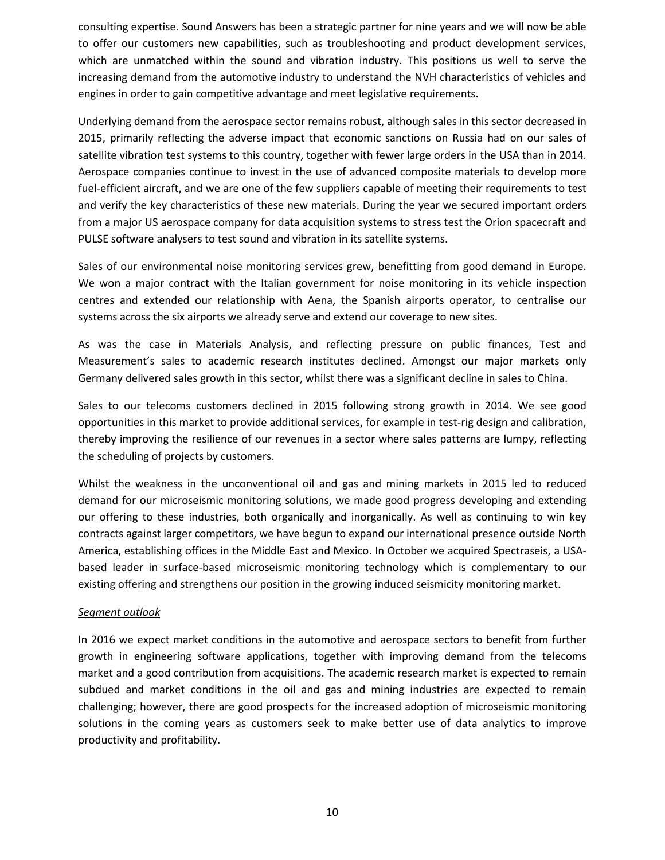consulting expertise. Sound Answers has been a strategic partner for nine years and we will now be able to offer our customers new capabilities, such as troubleshooting and product development services, which are unmatched within the sound and vibration industry. This positions us well to serve the increasing demand from the automotive industry to understand the NVH characteristics of vehicles and engines in order to gain competitive advantage and meet legislative requirements.

Underlying demand from the aerospace sector remains robust, although sales in this sector decreased in 2015, primarily reflecting the adverse impact that economic sanctions on Russia had on our sales of satellite vibration test systems to this country, together with fewer large orders in the USA than in 2014. Aerospace companies continue to invest in the use of advanced composite materials to develop more fuel-efficient aircraft, and we are one of the few suppliers capable of meeting their requirements to test and verify the key characteristics of these new materials. During the year we secured important orders from a major US aerospace company for data acquisition systems to stress test the Orion spacecraft and PULSE software analysers to test sound and vibration in its satellite systems.

Sales of our environmental noise monitoring services grew, benefitting from good demand in Europe. We won a major contract with the Italian government for noise monitoring in its vehicle inspection centres and extended our relationship with Aena, the Spanish airports operator, to centralise our systems across the six airports we already serve and extend our coverage to new sites.

As was the case in Materials Analysis, and reflecting pressure on public finances, Test and Measurement's sales to academic research institutes declined. Amongst our major markets only Germany delivered sales growth in this sector, whilst there was a significant decline in sales to China.

Sales to our telecoms customers declined in 2015 following strong growth in 2014. We see good opportunities in this market to provide additional services, for example in test-rig design and calibration, thereby improving the resilience of our revenues in a sector where sales patterns are lumpy, reflecting the scheduling of projects by customers.

Whilst the weakness in the unconventional oil and gas and mining markets in 2015 led to reduced demand for our microseismic monitoring solutions, we made good progress developing and extending our offering to these industries, both organically and inorganically. As well as continuing to win key contracts against larger competitors, we have begun to expand our international presence outside North America, establishing offices in the Middle East and Mexico. In October we acquired Spectraseis, a USAbased leader in surface-based microseismic monitoring technology which is complementary to our existing offering and strengthens our position in the growing induced seismicity monitoring market.

#### *Segment outlook*

In 2016 we expect market conditions in the automotive and aerospace sectors to benefit from further growth in engineering software applications, together with improving demand from the telecoms market and a good contribution from acquisitions. The academic research market is expected to remain subdued and market conditions in the oil and gas and mining industries are expected to remain challenging; however, there are good prospects for the increased adoption of microseismic monitoring solutions in the coming years as customers seek to make better use of data analytics to improve productivity and profitability.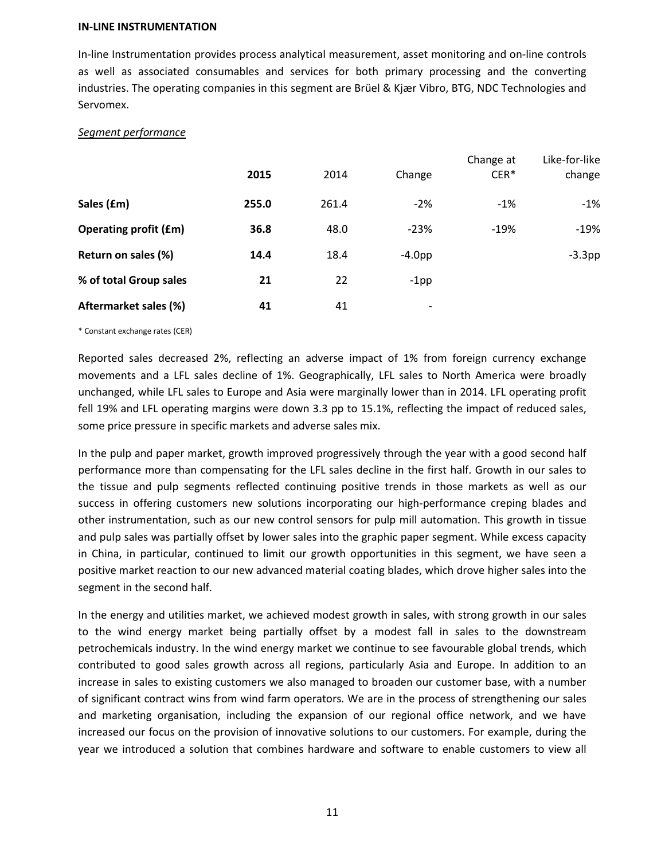#### **IN-LINE INSTRUMENTATION**

In-line Instrumentation provides process analytical measurement, asset monitoring and on-line controls as well as associated consumables and services for both primary processing and the converting industries. The operating companies in this segment are Brüel & Kjær Vibro, BTG, NDC Technologies and Servomex.

#### *Segment performance*

|                              | 2015  | 2014  | Change                   | Change at<br>$CER*$ | Like-for-like<br>change |
|------------------------------|-------|-------|--------------------------|---------------------|-------------------------|
| Sales (£m)                   | 255.0 | 261.4 | $-2%$                    | $-1%$               | $-1%$                   |
| <b>Operating profit (£m)</b> | 36.8  | 48.0  | $-23%$                   | $-19%$              | $-19%$                  |
| Return on sales (%)          | 14.4  | 18.4  | $-4.0pp$                 |                     | $-3.3$ pp               |
| % of total Group sales       | 21    | 22    | $-1$ pp                  |                     |                         |
| Aftermarket sales (%)        | 41    | 41    | $\overline{\phantom{a}}$ |                     |                         |

\* Constant exchange rates (CER)

Reported sales decreased 2%, reflecting an adverse impact of 1% from foreign currency exchange movements and a LFL sales decline of 1%. Geographically, LFL sales to North America were broadly unchanged, while LFL sales to Europe and Asia were marginally lower than in 2014. LFL operating profit fell 19% and LFL operating margins were down 3.3 pp to 15.1%, reflecting the impact of reduced sales, some price pressure in specific markets and adverse sales mix.

In the pulp and paper market, growth improved progressively through the year with a good second half performance more than compensating for the LFL sales decline in the first half. Growth in our sales to the tissue and pulp segments reflected continuing positive trends in those markets as well as our success in offering customers new solutions incorporating our high-performance creping blades and other instrumentation, such as our new control sensors for pulp mill automation. This growth in tissue and pulp sales was partially offset by lower sales into the graphic paper segment. While excess capacity in China, in particular, continued to limit our growth opportunities in this segment, we have seen a positive market reaction to our new advanced material coating blades, which drove higher sales into the segment in the second half.

In the energy and utilities market, we achieved modest growth in sales, with strong growth in our sales to the wind energy market being partially offset by a modest fall in sales to the downstream petrochemicals industry. In the wind energy market we continue to see favourable global trends, which contributed to good sales growth across all regions, particularly Asia and Europe. In addition to an increase in sales to existing customers we also managed to broaden our customer base, with a number of significant contract wins from wind farm operators. We are in the process of strengthening our sales and marketing organisation, including the expansion of our regional office network, and we have increased our focus on the provision of innovative solutions to our customers. For example, during the year we introduced a solution that combines hardware and software to enable customers to view all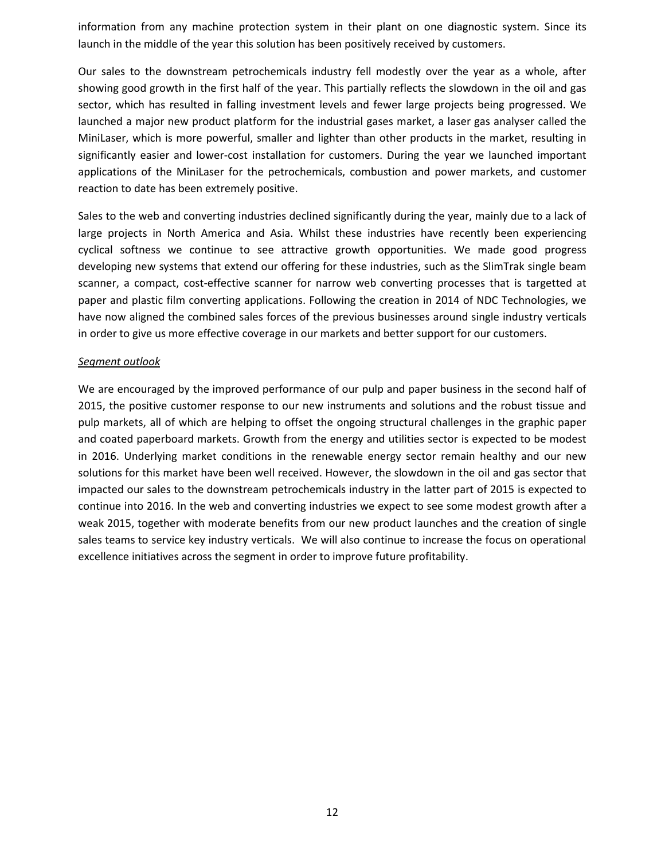information from any machine protection system in their plant on one diagnostic system. Since its launch in the middle of the year this solution has been positively received by customers.

Our sales to the downstream petrochemicals industry fell modestly over the year as a whole, after showing good growth in the first half of the year. This partially reflects the slowdown in the oil and gas sector, which has resulted in falling investment levels and fewer large projects being progressed. We launched a major new product platform for the industrial gases market, a laser gas analyser called the MiniLaser, which is more powerful, smaller and lighter than other products in the market, resulting in significantly easier and lower-cost installation for customers. During the year we launched important applications of the MiniLaser for the petrochemicals, combustion and power markets, and customer reaction to date has been extremely positive.

Sales to the web and converting industries declined significantly during the year, mainly due to a lack of large projects in North America and Asia. Whilst these industries have recently been experiencing cyclical softness we continue to see attractive growth opportunities. We made good progress developing new systems that extend our offering for these industries, such as the SlimTrak single beam scanner, a compact, cost-effective scanner for narrow web converting processes that is targetted at paper and plastic film converting applications. Following the creation in 2014 of NDC Technologies, we have now aligned the combined sales forces of the previous businesses around single industry verticals in order to give us more effective coverage in our markets and better support for our customers.

#### *Segment outlook*

We are encouraged by the improved performance of our pulp and paper business in the second half of 2015, the positive customer response to our new instruments and solutions and the robust tissue and pulp markets, all of which are helping to offset the ongoing structural challenges in the graphic paper and coated paperboard markets. Growth from the energy and utilities sector is expected to be modest in 2016. Underlying market conditions in the renewable energy sector remain healthy and our new solutions for this market have been well received. However, the slowdown in the oil and gas sector that impacted our sales to the downstream petrochemicals industry in the latter part of 2015 is expected to continue into 2016. In the web and converting industries we expect to see some modest growth after a weak 2015, together with moderate benefits from our new product launches and the creation of single sales teams to service key industry verticals. We will also continue to increase the focus on operational excellence initiatives across the segment in order to improve future profitability.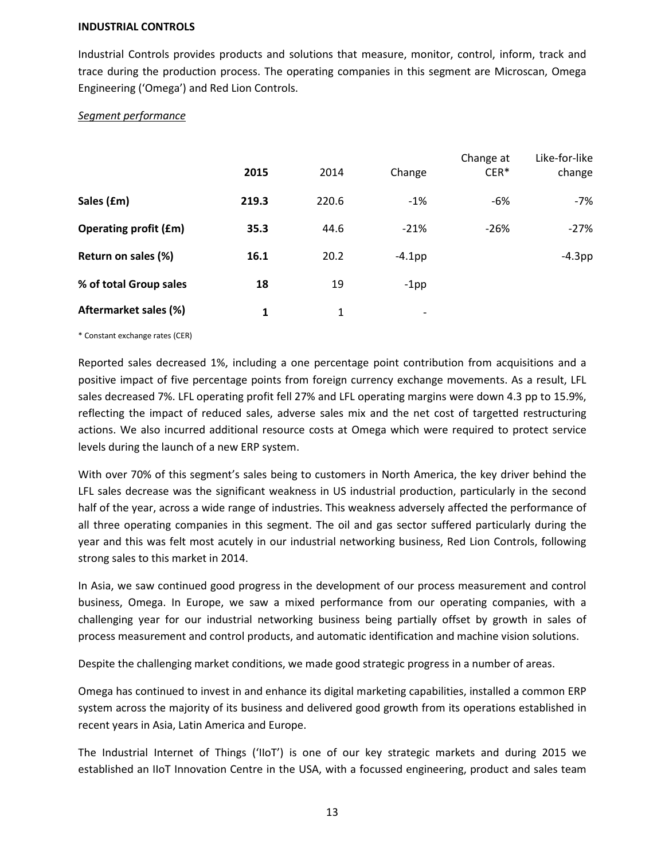#### **INDUSTRIAL CONTROLS**

Industrial Controls provides products and solutions that measure, monitor, control, inform, track and trace during the production process. The operating companies in this segment are Microscan, Omega Engineering ('Omega') and Red Lion Controls.

#### *Segment performance*

|                              | 2015  | 2014  | Change                   | Change at<br>$CER*$ | Like-for-like<br>change |
|------------------------------|-------|-------|--------------------------|---------------------|-------------------------|
| Sales (£m)                   | 219.3 | 220.6 | $-1%$                    | -6%                 | -7%                     |
| <b>Operating profit (£m)</b> | 35.3  | 44.6  | $-21%$                   | $-26%$              | $-27%$                  |
| Return on sales (%)          | 16.1  | 20.2  | $-4.1$ pp                |                     | $-4.3$ pp               |
| % of total Group sales       | 18    | 19    | $-1$ pp                  |                     |                         |
| Aftermarket sales (%)        | 1     | 1     | $\overline{\phantom{a}}$ |                     |                         |

\* Constant exchange rates (CER)

Reported sales decreased 1%, including a one percentage point contribution from acquisitions and a positive impact of five percentage points from foreign currency exchange movements. As a result, LFL sales decreased 7%. LFL operating profit fell 27% and LFL operating margins were down 4.3 pp to 15.9%, reflecting the impact of reduced sales, adverse sales mix and the net cost of targetted restructuring actions. We also incurred additional resource costs at Omega which were required to protect service levels during the launch of a new ERP system.

With over 70% of this segment's sales being to customers in North America, the key driver behind the LFL sales decrease was the significant weakness in US industrial production, particularly in the second half of the year, across a wide range of industries. This weakness adversely affected the performance of all three operating companies in this segment. The oil and gas sector suffered particularly during the year and this was felt most acutely in our industrial networking business, Red Lion Controls, following strong sales to this market in 2014.

In Asia, we saw continued good progress in the development of our process measurement and control business, Omega. In Europe, we saw a mixed performance from our operating companies, with a challenging year for our industrial networking business being partially offset by growth in sales of process measurement and control products, and automatic identification and machine vision solutions.

Despite the challenging market conditions, we made good strategic progress in a number of areas.

Omega has continued to invest in and enhance its digital marketing capabilities, installed a common ERP system across the majority of its business and delivered good growth from its operations established in recent years in Asia, Latin America and Europe.

The Industrial Internet of Things ('IIoT') is one of our key strategic markets and during 2015 we established an IIoT Innovation Centre in the USA, with a focussed engineering, product and sales team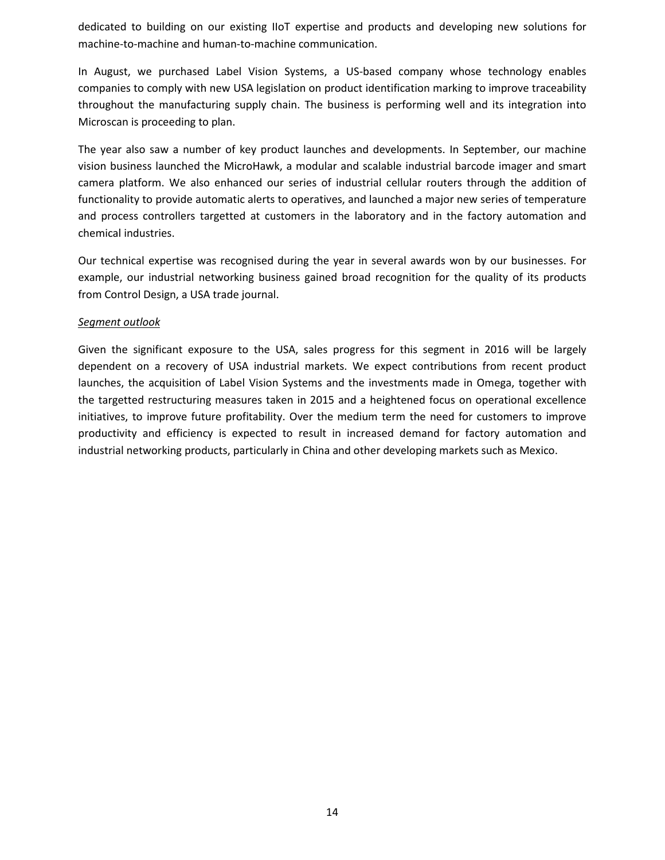dedicated to building on our existing IIoT expertise and products and developing new solutions for machine-to-machine and human-to-machine communication.

In August, we purchased Label Vision Systems, a US-based company whose technology enables companies to comply with new USA legislation on product identification marking to improve traceability throughout the manufacturing supply chain. The business is performing well and its integration into Microscan is proceeding to plan.

The year also saw a number of key product launches and developments. In September, our machine vision business launched the MicroHawk, a modular and scalable industrial barcode imager and smart camera platform. We also enhanced our series of industrial cellular routers through the addition of functionality to provide automatic alerts to operatives, and launched a major new series of temperature and process controllers targetted at customers in the laboratory and in the factory automation and chemical industries.

Our technical expertise was recognised during the year in several awards won by our businesses. For example, our industrial networking business gained broad recognition for the quality of its products from Control Design, a USA trade journal.

#### *Segment outlook*

Given the significant exposure to the USA, sales progress for this segment in 2016 will be largely dependent on a recovery of USA industrial markets. We expect contributions from recent product launches, the acquisition of Label Vision Systems and the investments made in Omega, together with the targetted restructuring measures taken in 2015 and a heightened focus on operational excellence initiatives, to improve future profitability. Over the medium term the need for customers to improve productivity and efficiency is expected to result in increased demand for factory automation and industrial networking products, particularly in China and other developing markets such as Mexico.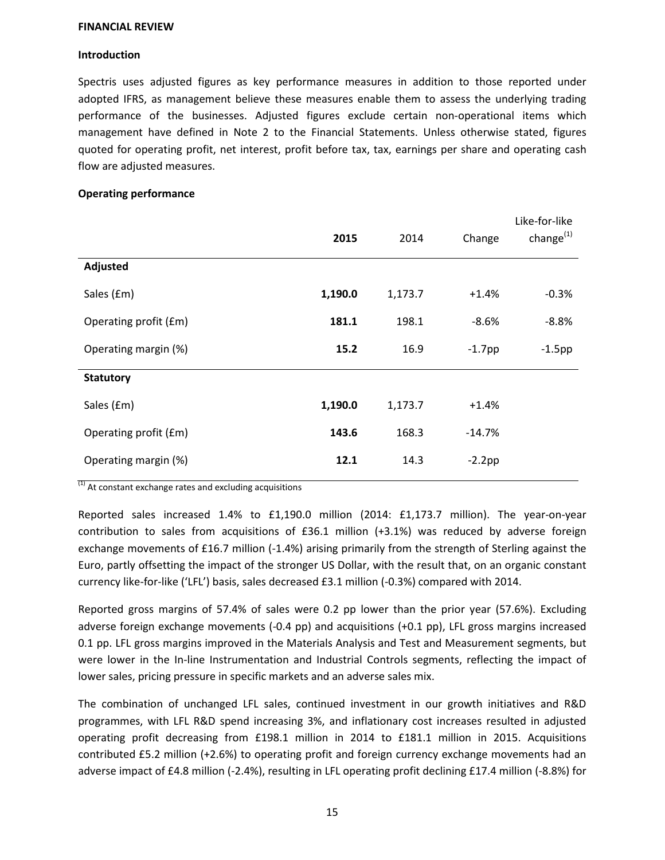#### **FINANCIAL REVIEW**

#### **Introduction**

Spectris uses adjusted figures as key performance measures in addition to those reported under adopted IFRS, as management believe these measures enable them to assess the underlying trading performance of the businesses. Adjusted figures exclude certain non-operational items which management have defined in Note 2 to the Financial Statements. Unless otherwise stated, figures quoted for operating profit, net interest, profit before tax, tax, earnings per share and operating cash flow are adjusted measures.

#### **Operating performance**

|                       | 2015    | 2014    | Change    | Like-for-like<br>change $^{(1)}$ |
|-----------------------|---------|---------|-----------|----------------------------------|
| Adjusted              |         |         |           |                                  |
| Sales (£m)            | 1,190.0 | 1,173.7 | $+1.4%$   | $-0.3%$                          |
| Operating profit (£m) | 181.1   | 198.1   | $-8.6%$   | $-8.8%$                          |
| Operating margin (%)  | 15.2    | 16.9    | $-1.7$ pp | $-1.5$ pp                        |
| <b>Statutory</b>      |         |         |           |                                  |
| Sales (£m)            | 1,190.0 | 1,173.7 | $+1.4%$   |                                  |
| Operating profit (£m) | 143.6   | 168.3   | $-14.7%$  |                                  |
| Operating margin (%)  | 12.1    | 14.3    | $-2.2$ pp |                                  |

 $(1)$  At constant exchange rates and excluding acquisitions

Reported sales increased 1.4% to £1,190.0 million (2014: £1,173.7 million). The year-on-year contribution to sales from acquisitions of £36.1 million (+3.1%) was reduced by adverse foreign exchange movements of £16.7 million (-1.4%) arising primarily from the strength of Sterling against the Euro, partly offsetting the impact of the stronger US Dollar, with the result that, on an organic constant currency like-for-like ('LFL') basis, sales decreased £3.1 million (-0.3%) compared with 2014.

Reported gross margins of 57.4% of sales were 0.2 pp lower than the prior year (57.6%). Excluding adverse foreign exchange movements (-0.4 pp) and acquisitions (+0.1 pp), LFL gross margins increased 0.1 pp. LFL gross margins improved in the Materials Analysis and Test and Measurement segments, but were lower in the In-line Instrumentation and Industrial Controls segments, reflecting the impact of lower sales, pricing pressure in specific markets and an adverse sales mix.

The combination of unchanged LFL sales, continued investment in our growth initiatives and R&D programmes, with LFL R&D spend increasing 3%, and inflationary cost increases resulted in adjusted operating profit decreasing from £198.1 million in 2014 to £181.1 million in 2015. Acquisitions contributed £5.2 million (+2.6%) to operating profit and foreign currency exchange movements had an adverse impact of £4.8 million (-2.4%), resulting in LFL operating profit declining £17.4 million (-8.8%) for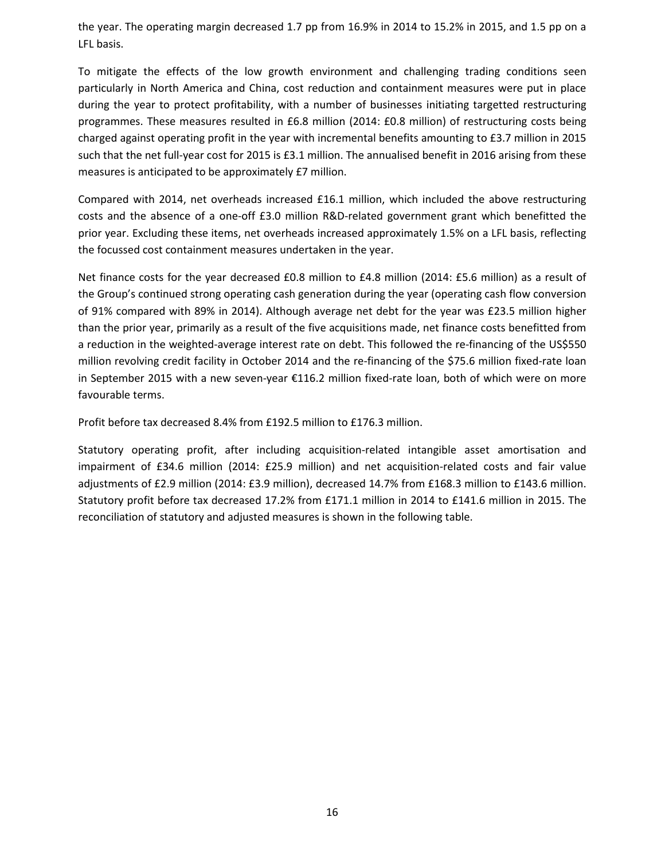the year. The operating margin decreased 1.7 pp from 16.9% in 2014 to 15.2% in 2015, and 1.5 pp on a LFL basis.

To mitigate the effects of the low growth environment and challenging trading conditions seen particularly in North America and China, cost reduction and containment measures were put in place during the year to protect profitability, with a number of businesses initiating targetted restructuring programmes. These measures resulted in £6.8 million (2014: £0.8 million) of restructuring costs being charged against operating profit in the year with incremental benefits amounting to £3.7 million in 2015 such that the net full-year cost for 2015 is £3.1 million. The annualised benefit in 2016 arising from these measures is anticipated to be approximately £7 million.

Compared with 2014, net overheads increased £16.1 million, which included the above restructuring costs and the absence of a one-off £3.0 million R&D-related government grant which benefitted the prior year. Excluding these items, net overheads increased approximately 1.5% on a LFL basis, reflecting the focussed cost containment measures undertaken in the year.

Net finance costs for the year decreased £0.8 million to £4.8 million (2014: £5.6 million) as a result of the Group's continued strong operating cash generation during the year (operating cash flow conversion of 91% compared with 89% in 2014). Although average net debt for the year was £23.5 million higher than the prior year, primarily as a result of the five acquisitions made, net finance costs benefitted from a reduction in the weighted-average interest rate on debt. This followed the re-financing of the US\$550 million revolving credit facility in October 2014 and the re-financing of the \$75.6 million fixed-rate loan in September 2015 with a new seven-year €116.2 million fixed-rate loan, both of which were on more favourable terms.

Profit before tax decreased 8.4% from £192.5 million to £176.3 million.

Statutory operating profit, after including acquisition-related intangible asset amortisation and impairment of £34.6 million (2014: £25.9 million) and net acquisition-related costs and fair value adjustments of £2.9 million (2014: £3.9 million), decreased 14.7% from £168.3 million to £143.6 million. Statutory profit before tax decreased 17.2% from £171.1 million in 2014 to £141.6 million in 2015. The reconciliation of statutory and adjusted measures is shown in the following table.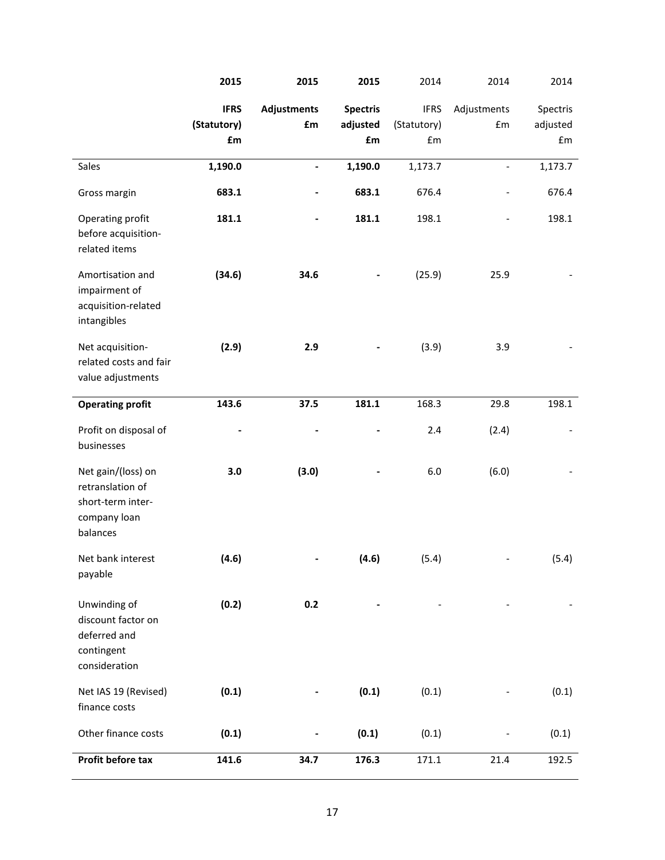|                                                                                         | 2015        | 2015               | 2015            | 2014        | 2014           | 2014     |
|-----------------------------------------------------------------------------------------|-------------|--------------------|-----------------|-------------|----------------|----------|
|                                                                                         | <b>IFRS</b> | <b>Adjustments</b> | <b>Spectris</b> | <b>IFRS</b> | Adjustments    | Spectris |
|                                                                                         | (Statutory) | £m                 | adjusted        | (Statutory) | Em             | adjusted |
|                                                                                         | £m          |                    | £m              | £m          |                | £m       |
| Sales                                                                                   | 1,190.0     | $\blacksquare$     | 1,190.0         | 1,173.7     | $\overline{a}$ | 1,173.7  |
| Gross margin                                                                            | 683.1       |                    | 683.1           | 676.4       |                | 676.4    |
| Operating profit<br>before acquisition-<br>related items                                | 181.1       | -                  | 181.1           | 198.1       |                | 198.1    |
| Amortisation and<br>impairment of<br>acquisition-related<br>intangibles                 | (34.6)      | 34.6               |                 | (25.9)      | 25.9           |          |
| Net acquisition-<br>related costs and fair<br>value adjustments                         | (2.9)       | 2.9                |                 | (3.9)       | 3.9            |          |
| <b>Operating profit</b>                                                                 | 143.6       | 37.5               | 181.1           | 168.3       | 29.8           | 198.1    |
| Profit on disposal of<br>businesses                                                     |             |                    |                 | 2.4         | (2.4)          |          |
| Net gain/(loss) on<br>retranslation of<br>short-term inter-<br>company loan<br>balances | 3.0         | (3.0)              |                 | 6.0         | (6.0)          |          |
| Net bank interest<br>payable                                                            | (4.6)       |                    | (4.6)           | (5.4)       |                | (5.4)    |
| Unwinding of<br>discount factor on<br>deferred and<br>contingent<br>consideration       | (0.2)       | 0.2                |                 |             |                |          |
| Net IAS 19 (Revised)<br>finance costs                                                   | (0.1)       |                    | (0.1)           | (0.1)       |                | (0.1)    |
| Other finance costs                                                                     | (0.1)       |                    | (0.1)           | (0.1)       |                | (0.1)    |
| Profit before tax                                                                       | 141.6       | 34.7               | 176.3           | 171.1       | 21.4           | 192.5    |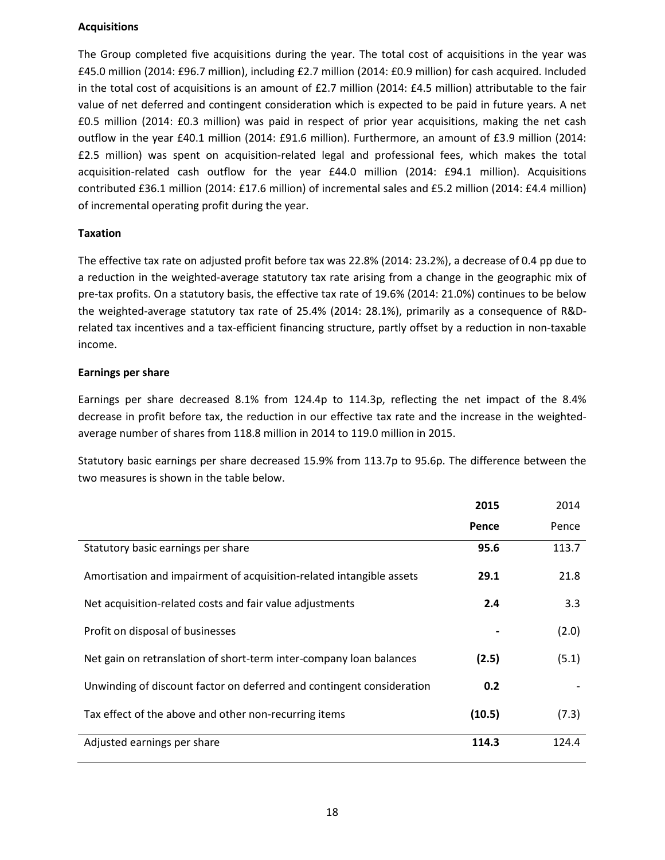#### **Acquisitions**

The Group completed five acquisitions during the year. The total cost of acquisitions in the year was £45.0 million (2014: £96.7 million), including £2.7 million (2014: £0.9 million) for cash acquired. Included in the total cost of acquisitions is an amount of £2.7 million (2014: £4.5 million) attributable to the fair value of net deferred and contingent consideration which is expected to be paid in future years. A net £0.5 million (2014: £0.3 million) was paid in respect of prior year acquisitions, making the net cash outflow in the year £40.1 million (2014: £91.6 million). Furthermore, an amount of £3.9 million (2014: £2.5 million) was spent on acquisition-related legal and professional fees, which makes the total acquisition-related cash outflow for the year £44.0 million (2014: £94.1 million). Acquisitions contributed £36.1 million (2014: £17.6 million) of incremental sales and £5.2 million (2014: £4.4 million) of incremental operating profit during the year.

#### **Taxation**

The effective tax rate on adjusted profit before tax was 22.8% (2014: 23.2%), a decrease of 0.4 pp due to a reduction in the weighted-average statutory tax rate arising from a change in the geographic mix of pre-tax profits. On a statutory basis, the effective tax rate of 19.6% (2014: 21.0%) continues to be below the weighted-average statutory tax rate of 25.4% (2014: 28.1%), primarily as a consequence of R&Drelated tax incentives and a tax-efficient financing structure, partly offset by a reduction in non-taxable income.

#### **Earnings per share**

Earnings per share decreased 8.1% from 124.4p to 114.3p, reflecting the net impact of the 8.4% decrease in profit before tax, the reduction in our effective tax rate and the increase in the weightedaverage number of shares from 118.8 million in 2014 to 119.0 million in 2015.

Statutory basic earnings per share decreased 15.9% from 113.7p to 95.6p. The difference between the two measures is shown in the table below.

|                                                                       | 2015   | 2014  |
|-----------------------------------------------------------------------|--------|-------|
|                                                                       | Pence  | Pence |
| Statutory basic earnings per share                                    | 95.6   | 113.7 |
| Amortisation and impairment of acquisition-related intangible assets  | 29.1   | 21.8  |
| Net acquisition-related costs and fair value adjustments              | 2.4    | 3.3   |
| Profit on disposal of businesses                                      |        | (2.0) |
| Net gain on retranslation of short-term inter-company loan balances   | (2.5)  | (5.1) |
| Unwinding of discount factor on deferred and contingent consideration | 0.2    |       |
| Tax effect of the above and other non-recurring items                 | (10.5) | (7.3) |
| Adjusted earnings per share                                           | 114.3  | 124.4 |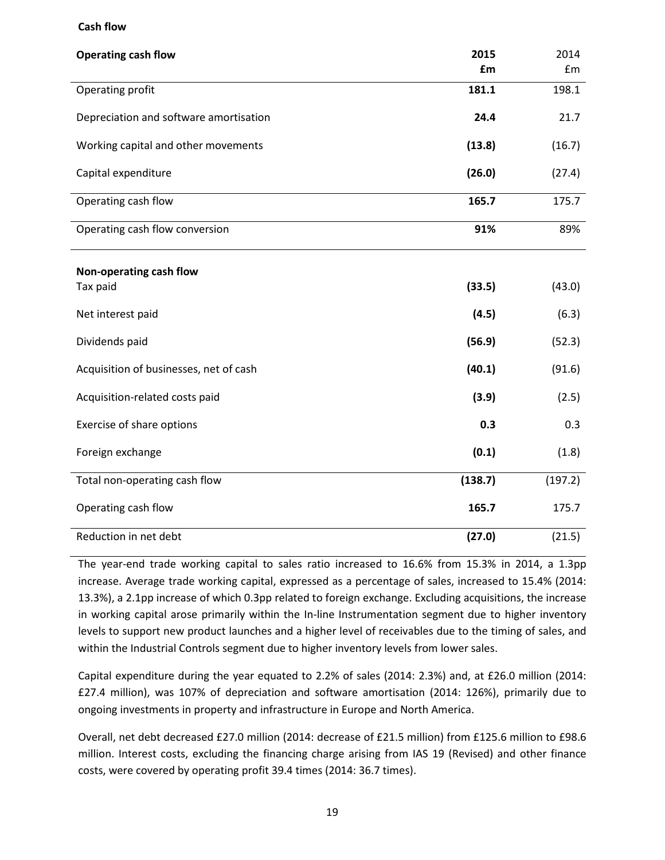#### **Cash flow**

| <b>Operating cash flow</b>             | 2015<br>£m | 2014<br>£m |
|----------------------------------------|------------|------------|
| Operating profit                       | 181.1      | 198.1      |
| Depreciation and software amortisation | 24.4       | 21.7       |
| Working capital and other movements    | (13.8)     | (16.7)     |
| Capital expenditure                    | (26.0)     | (27.4)     |
| Operating cash flow                    | 165.7      | 175.7      |
| Operating cash flow conversion         | 91%        | 89%        |
| Non-operating cash flow<br>Tax paid    | (33.5)     | (43.0)     |
| Net interest paid                      | (4.5)      | (6.3)      |
| Dividends paid                         | (56.9)     | (52.3)     |
| Acquisition of businesses, net of cash | (40.1)     | (91.6)     |
| Acquisition-related costs paid         | (3.9)      | (2.5)      |
| Exercise of share options              | 0.3        | 0.3        |
| Foreign exchange                       | (0.1)      | (1.8)      |
| Total non-operating cash flow          | (138.7)    | (197.2)    |
| Operating cash flow                    | 165.7      | 175.7      |
| Reduction in net debt                  | (27.0)     | (21.5)     |

The year-end trade working capital to sales ratio increased to 16.6% from 15.3% in 2014, a 1.3pp increase. Average trade working capital, expressed as a percentage of sales, increased to 15.4% (2014: 13.3%), a 2.1pp increase of which 0.3pp related to foreign exchange. Excluding acquisitions, the increase in working capital arose primarily within the In-line Instrumentation segment due to higher inventory levels to support new product launches and a higher level of receivables due to the timing of sales, and within the Industrial Controls segment due to higher inventory levels from lower sales.

Capital expenditure during the year equated to 2.2% of sales (2014: 2.3%) and, at £26.0 million (2014: £27.4 million), was 107% of depreciation and software amortisation (2014: 126%), primarily due to ongoing investments in property and infrastructure in Europe and North America.

Overall, net debt decreased £27.0 million (2014: decrease of £21.5 million) from £125.6 million to £98.6 million. Interest costs, excluding the financing charge arising from IAS 19 (Revised) and other finance costs, were covered by operating profit 39.4 times (2014: 36.7 times).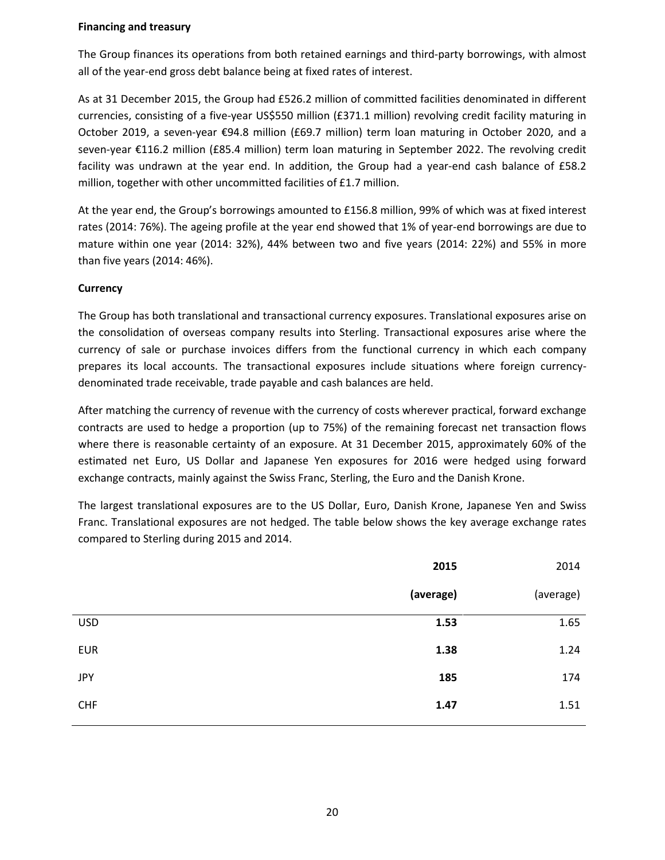#### **Financing and treasury**

The Group finances its operations from both retained earnings and third-party borrowings, with almost all of the year-end gross debt balance being at fixed rates of interest.

As at 31 December 2015, the Group had £526.2 million of committed facilities denominated in different currencies, consisting of a five-year US\$550 million (£371.1 million) revolving credit facility maturing in October 2019, a seven-year €94.8 million (£69.7 million) term loan maturing in October 2020, and a seven-year €116.2 million (£85.4 million) term loan maturing in September 2022. The revolving credit facility was undrawn at the year end. In addition, the Group had a year-end cash balance of £58.2 million, together with other uncommitted facilities of £1.7 million.

At the year end, the Group's borrowings amounted to £156.8 million, 99% of which was at fixed interest rates (2014: 76%). The ageing profile at the year end showed that 1% of year-end borrowings are due to mature within one year (2014: 32%), 44% between two and five years (2014: 22%) and 55% in more than five years (2014: 46%).

#### **Currency**

The Group has both translational and transactional currency exposures. Translational exposures arise on the consolidation of overseas company results into Sterling. Transactional exposures arise where the currency of sale or purchase invoices differs from the functional currency in which each company prepares its local accounts. The transactional exposures include situations where foreign currencydenominated trade receivable, trade payable and cash balances are held.

After matching the currency of revenue with the currency of costs wherever practical, forward exchange contracts are used to hedge a proportion (up to 75%) of the remaining forecast net transaction flows where there is reasonable certainty of an exposure. At 31 December 2015, approximately 60% of the estimated net Euro, US Dollar and Japanese Yen exposures for 2016 were hedged using forward exchange contracts, mainly against the Swiss Franc, Sterling, the Euro and the Danish Krone.

The largest translational exposures are to the US Dollar, Euro, Danish Krone, Japanese Yen and Swiss Franc. Translational exposures are not hedged. The table below shows the key average exchange rates compared to Sterling during 2015 and 2014.

|            | 2015      | 2014      |
|------------|-----------|-----------|
|            | (average) | (average) |
| <b>USD</b> | 1.53      | 1.65      |
| <b>EUR</b> | 1.38      | 1.24      |
| <b>JPY</b> | 185       | 174       |
| <b>CHF</b> | 1.47      | 1.51      |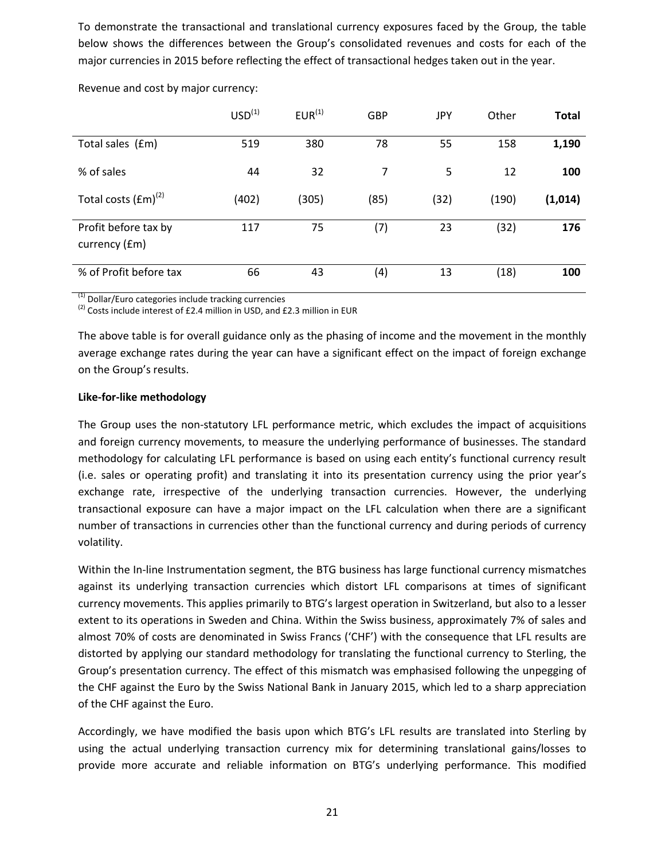To demonstrate the transactional and translational currency exposures faced by the Group, the table below shows the differences between the Group's consolidated revenues and costs for each of the major currencies in 2015 before reflecting the effect of transactional hedges taken out in the year.

|                                       | USD <sup>(1)</sup> | $EUR^{(1)}$ | <b>GBP</b> | JPY  | Other | <b>Total</b> |
|---------------------------------------|--------------------|-------------|------------|------|-------|--------------|
| Total sales (£m)                      | 519                | 380         | 78         | 55   | 158   | 1,190        |
| % of sales                            | 44                 | 32          | 7          | 5    | 12    | 100          |
| Total costs $(fm)^{(2)}$              | (402)              | (305)       | (85)       | (32) | (190) | (1,014)      |
| Profit before tax by<br>currency (£m) | 117                | 75          | (7)        | 23   | (32)  | 176          |
| % of Profit before tax                | 66                 | 43          | (4)        | 13   | (18)  | 100          |

Revenue and cost by major currency:

 $(1)$  Dollar/Euro categories include tracking currencies

 $<sup>(2)</sup>$  Costs include interest of £2.4 million in USD, and £2.3 million in EUR</sup>

The above table is for overall guidance only as the phasing of income and the movement in the monthly average exchange rates during the year can have a significant effect on the impact of foreign exchange on the Group's results.

#### **Like-for-like methodology**

The Group uses the non-statutory LFL performance metric, which excludes the impact of acquisitions and foreign currency movements, to measure the underlying performance of businesses. The standard methodology for calculating LFL performance is based on using each entity's functional currency result (i.e. sales or operating profit) and translating it into its presentation currency using the prior year's exchange rate, irrespective of the underlying transaction currencies. However, the underlying transactional exposure can have a major impact on the LFL calculation when there are a significant number of transactions in currencies other than the functional currency and during periods of currency volatility.

Within the In-line Instrumentation segment, the BTG business has large functional currency mismatches against its underlying transaction currencies which distort LFL comparisons at times of significant currency movements. This applies primarily to BTG's largest operation in Switzerland, but also to a lesser extent to its operations in Sweden and China. Within the Swiss business, approximately 7% of sales and almost 70% of costs are denominated in Swiss Francs ('CHF') with the consequence that LFL results are distorted by applying our standard methodology for translating the functional currency to Sterling, the Group's presentation currency. The effect of this mismatch was emphasised following the unpegging of the CHF against the Euro by the Swiss National Bank in January 2015, which led to a sharp appreciation of the CHF against the Euro.

Accordingly, we have modified the basis upon which BTG's LFL results are translated into Sterling by using the actual underlying transaction currency mix for determining translational gains/losses to provide more accurate and reliable information on BTG's underlying performance. This modified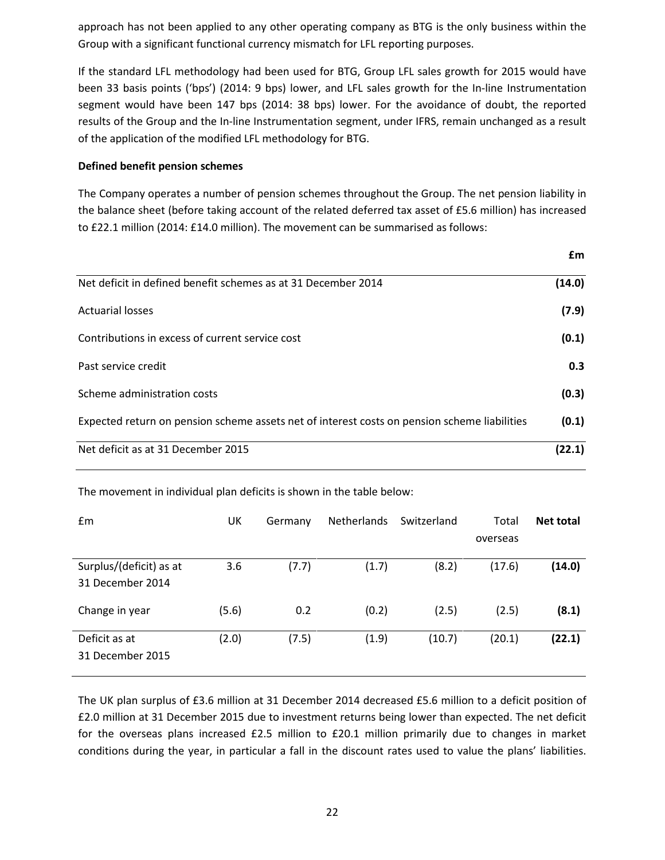approach has not been applied to any other operating company as BTG is the only business within the Group with a significant functional currency mismatch for LFL reporting purposes.

If the standard LFL methodology had been used for BTG, Group LFL sales growth for 2015 would have been 33 basis points ('bps') (2014: 9 bps) lower, and LFL sales growth for the In-line Instrumentation segment would have been 147 bps (2014: 38 bps) lower. For the avoidance of doubt, the reported results of the Group and the In-line Instrumentation segment, under IFRS, remain unchanged as a result of the application of the modified LFL methodology for BTG.

#### **Defined benefit pension schemes**

The Company operates a number of pension schemes throughout the Group. The net pension liability in the balance sheet (before taking account of the related deferred tax asset of £5.6 million) has increased to £22.1 million (2014: £14.0 million). The movement can be summarised as follows:

|                                                                                              | £m     |
|----------------------------------------------------------------------------------------------|--------|
| Net deficit in defined benefit schemes as at 31 December 2014                                | (14.0) |
| <b>Actuarial losses</b>                                                                      | (7.9)  |
| Contributions in excess of current service cost                                              | (0.1)  |
| Past service credit                                                                          | 0.3    |
| Scheme administration costs                                                                  | (0.3)  |
| Expected return on pension scheme assets net of interest costs on pension scheme liabilities | (0.1)  |
| Net deficit as at 31 December 2015                                                           | (22.1) |

The movement in individual plan deficits is shown in the table below:

| £m                                          | UK    | Germany | <b>Netherlands</b> | Switzerland | Total    | <b>Net total</b> |
|---------------------------------------------|-------|---------|--------------------|-------------|----------|------------------|
|                                             |       |         |                    |             | overseas |                  |
| Surplus/(deficit) as at<br>31 December 2014 | 3.6   | (7.7)   | (1.7)              | (8.2)       | (17.6)   | (14.0)           |
| Change in year                              | (5.6) | 0.2     | (0.2)              | (2.5)       | (2.5)    | (8.1)            |
| Deficit as at<br>31 December 2015           | (2.0) | (7.5)   | (1.9)              | (10.7)      | (20.1)   | (22.1)           |

The UK plan surplus of £3.6 million at 31 December 2014 decreased £5.6 million to a deficit position of £2.0 million at 31 December 2015 due to investment returns being lower than expected. The net deficit for the overseas plans increased £2.5 million to £20.1 million primarily due to changes in market conditions during the year, in particular a fall in the discount rates used to value the plans' liabilities.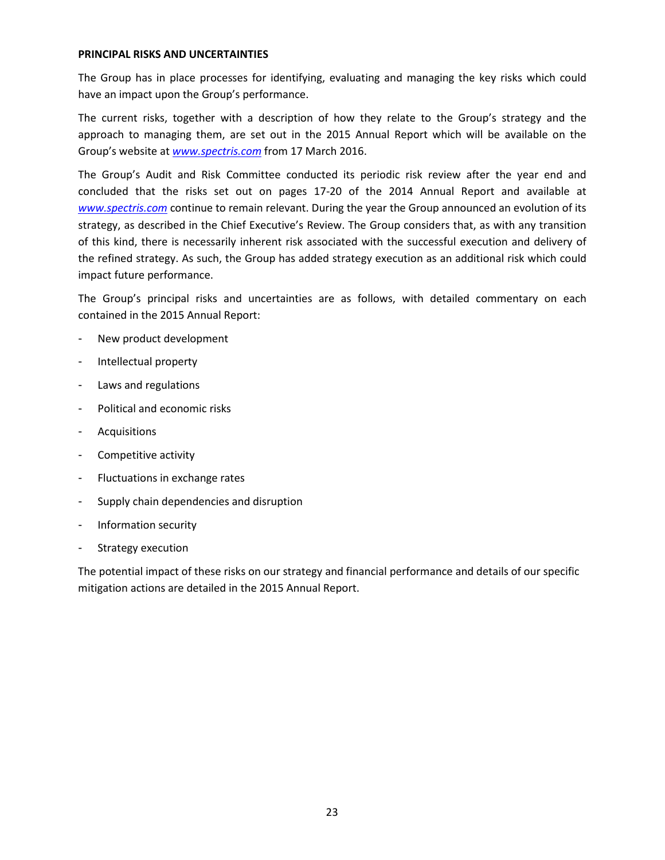#### **PRINCIPAL RISKS AND UNCERTAINTIES**

The Group has in place processes for identifying, evaluating and managing the key risks which could have an impact upon the Group's performance.

The current risks, together with a description of how they relate to the Group's strategy and the approach to managing them, are set out in the 2015 Annual Report which will be available on the Group's website at *[www.spectris.com](http://www.spectris.com/)* from 17 March 2016.

The Group's Audit and Risk Committee conducted its periodic risk review after the year end and concluded that the risks set out on pages 17-20 of the 2014 Annual Report and available at *[www.spectris.com](http://www.spectris.com/)* continue to remain relevant. During the year the Group announced an evolution of its strategy, as described in the Chief Executive's Review. The Group considers that, as with any transition of this kind, there is necessarily inherent risk associated with the successful execution and delivery of the refined strategy. As such, the Group has added strategy execution as an additional risk which could impact future performance.

The Group's principal risks and uncertainties are as follows, with detailed commentary on each contained in the 2015 Annual Report:

- New product development
- Intellectual property
- Laws and regulations
- Political and economic risks
- **Acquisitions**
- Competitive activity
- Fluctuations in exchange rates
- Supply chain dependencies and disruption
- Information security
- Strategy execution

The potential impact of these risks on our strategy and financial performance and details of our specific mitigation actions are detailed in the 2015 Annual Report.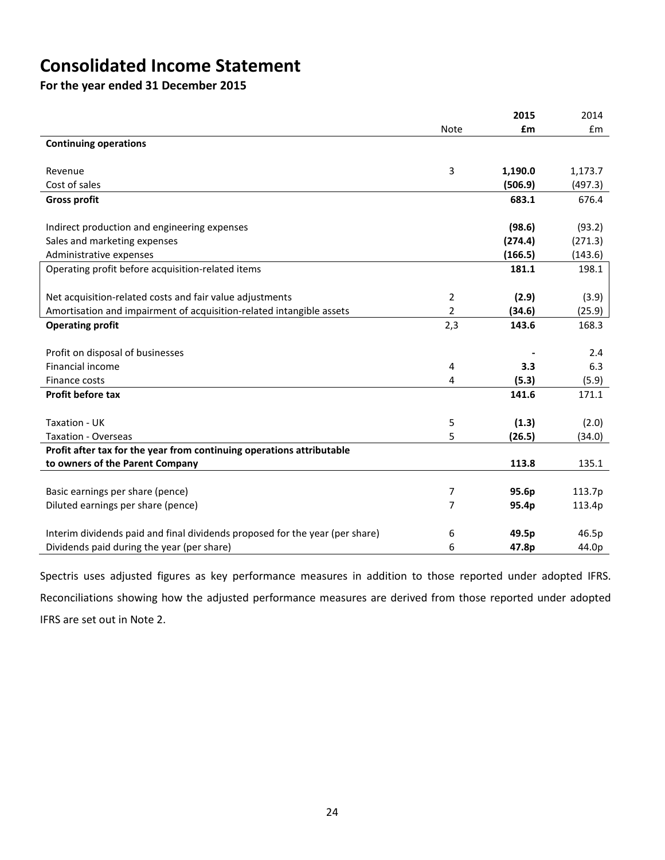## **Consolidated Income Statement**

**For the year ended 31 December 2015**

|                                                                              |                | 2015    | 2014    |
|------------------------------------------------------------------------------|----------------|---------|---------|
|                                                                              | Note           | £m      | Em      |
| <b>Continuing operations</b>                                                 |                |         |         |
|                                                                              |                |         |         |
| Revenue                                                                      | 3              | 1,190.0 | 1,173.7 |
| Cost of sales                                                                |                | (506.9) | (497.3) |
| <b>Gross profit</b>                                                          |                | 683.1   | 676.4   |
|                                                                              |                |         |         |
| Indirect production and engineering expenses                                 |                | (98.6)  | (93.2)  |
| Sales and marketing expenses                                                 |                | (274.4) | (271.3) |
| Administrative expenses                                                      |                | (166.5) | (143.6) |
| Operating profit before acquisition-related items                            |                | 181.1   | 198.1   |
|                                                                              |                |         |         |
| Net acquisition-related costs and fair value adjustments                     | 2              | (2.9)   | (3.9)   |
| Amortisation and impairment of acquisition-related intangible assets         | $\overline{2}$ | (34.6)  | (25.9)  |
| <b>Operating profit</b>                                                      | 2,3            | 143.6   | 168.3   |
|                                                                              |                |         |         |
| Profit on disposal of businesses                                             |                |         | 2.4     |
| Financial income                                                             | 4              | 3.3     | 6.3     |
| Finance costs                                                                | 4              | (5.3)   | (5.9)   |
| Profit before tax                                                            |                | 141.6   | 171.1   |
|                                                                              |                |         |         |
| Taxation - UK                                                                | 5              | (1.3)   | (2.0)   |
| <b>Taxation - Overseas</b>                                                   | 5              | (26.5)  | (34.0)  |
| Profit after tax for the year from continuing operations attributable        |                |         |         |
| to owners of the Parent Company                                              |                | 113.8   | 135.1   |
|                                                                              |                |         |         |
| Basic earnings per share (pence)                                             | 7              | 95.6p   | 113.7p  |
| Diluted earnings per share (pence)                                           | 7              | 95.4p   | 113.4p  |
|                                                                              |                |         |         |
| Interim dividends paid and final dividends proposed for the year (per share) | 6              | 49.5p   | 46.5p   |
| Dividends paid during the year (per share)                                   | 6              | 47.8p   | 44.0p   |

Spectris uses adjusted figures as key performance measures in addition to those reported under adopted IFRS. Reconciliations showing how the adjusted performance measures are derived from those reported under adopted IFRS are set out in Note 2.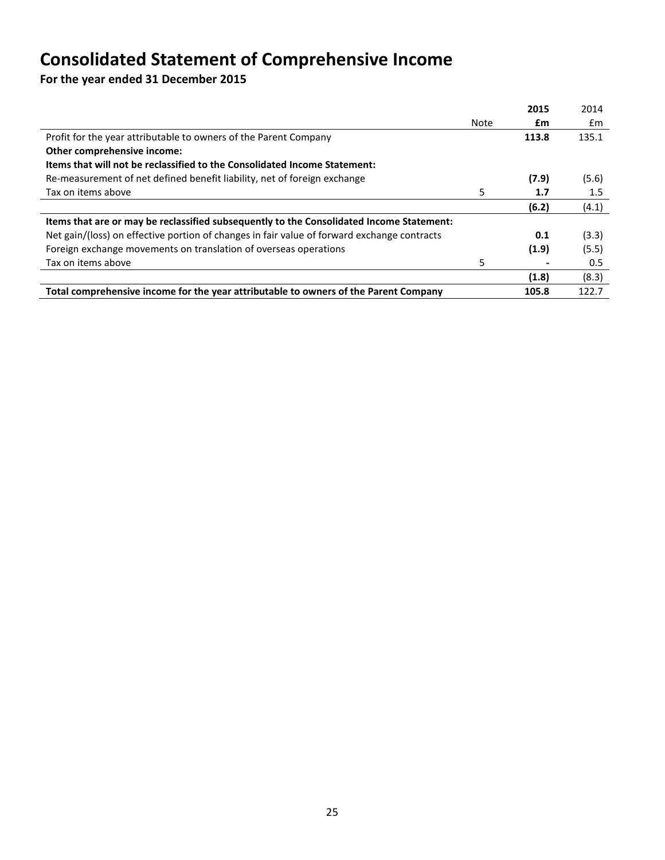# **Consolidated Statement of Comprehensive Income**

**For the year ended 31 December 2015**

|                                                                                             |      | 2015  | 2014  |
|---------------------------------------------------------------------------------------------|------|-------|-------|
|                                                                                             | Note | £m    | £m    |
| Profit for the year attributable to owners of the Parent Company                            |      | 113.8 | 135.1 |
| Other comprehensive income:                                                                 |      |       |       |
| Items that will not be reclassified to the Consolidated Income Statement:                   |      |       |       |
| Re-measurement of net defined benefit liability, net of foreign exchange                    |      | (7.9) | (5.6) |
| Tax on items above                                                                          | 5    | 1.7   | 1.5   |
|                                                                                             |      | (6.2) | (4.1) |
| Items that are or may be reclassified subsequently to the Consolidated Income Statement:    |      |       |       |
| Net gain/(loss) on effective portion of changes in fair value of forward exchange contracts |      | 0.1   | (3.3) |
| Foreign exchange movements on translation of overseas operations                            |      | (1.9) | (5.5) |
| Tax on items above                                                                          | 5    |       | 0.5   |
|                                                                                             |      | (1.8) | (8.3) |
| Total comprehensive income for the year attributable to owners of the Parent Company        |      | 105.8 | 122.7 |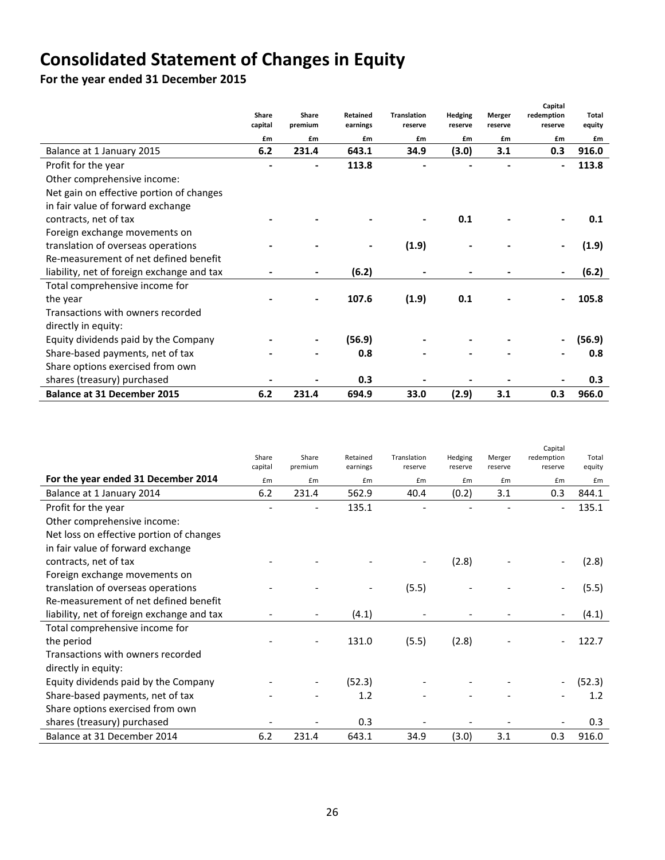# **Consolidated Statement of Changes in Equity**

**For the year ended 31 December 2015**

|                                            | Share<br>capital | Share<br>premium | Retained<br>earnings | <b>Translation</b><br>reserve | Hedging<br>reserve | Merger<br>reserve | Capital<br>redemption<br>reserve | Total<br>equity |
|--------------------------------------------|------------------|------------------|----------------------|-------------------------------|--------------------|-------------------|----------------------------------|-----------------|
|                                            | £m               | £m               | £m                   | £m                            | £m                 | £m                | £m                               | £m              |
| Balance at 1 January 2015                  | 6.2              | 231.4            | 643.1                | 34.9                          | (3.0)              | 3.1               | 0.3                              | 916.0           |
| Profit for the year                        |                  |                  | 113.8                |                               |                    |                   |                                  | 113.8           |
| Other comprehensive income:                |                  |                  |                      |                               |                    |                   |                                  |                 |
| Net gain on effective portion of changes   |                  |                  |                      |                               |                    |                   |                                  |                 |
| in fair value of forward exchange          |                  |                  |                      |                               |                    |                   |                                  |                 |
| contracts, net of tax                      |                  |                  |                      |                               | 0.1                |                   |                                  | 0.1             |
| Foreign exchange movements on              |                  |                  |                      |                               |                    |                   |                                  |                 |
| translation of overseas operations         |                  |                  |                      | (1.9)                         |                    |                   |                                  | (1.9)           |
| Re-measurement of net defined benefit      |                  |                  |                      |                               |                    |                   |                                  |                 |
| liability, net of foreign exchange and tax |                  |                  | (6.2)                |                               |                    |                   |                                  | (6.2)           |
| Total comprehensive income for             |                  |                  |                      |                               |                    |                   |                                  |                 |
| the year                                   |                  |                  | 107.6                | (1.9)                         | 0.1                |                   |                                  | 105.8           |
| Transactions with owners recorded          |                  |                  |                      |                               |                    |                   |                                  |                 |
| directly in equity:                        |                  |                  |                      |                               |                    |                   |                                  |                 |
| Equity dividends paid by the Company       |                  |                  | (56.9)               |                               |                    |                   |                                  | (56.9)          |
| Share-based payments, net of tax           |                  |                  | 0.8                  |                               |                    |                   |                                  | 0.8             |
| Share options exercised from own           |                  |                  |                      |                               |                    |                   |                                  |                 |
| shares (treasury) purchased                |                  |                  | 0.3                  |                               |                    |                   |                                  | 0.3             |
| <b>Balance at 31 December 2015</b>         | 6.2              | 231.4            | 694.9                | 33.0                          | (2.9)              | 3.1               | 0.3                              | 966.0           |

|                                            |         |         |          |             |         |         | Capital    |        |
|--------------------------------------------|---------|---------|----------|-------------|---------|---------|------------|--------|
|                                            | Share   | Share   | Retained | Translation | Hedging | Merger  | redemption | Total  |
|                                            | capital | premium | earnings | reserve     | reserve | reserve | reserve    | equity |
| For the year ended 31 December 2014        | £m      | £m      | £m       | £m          | £m      | £m      | £m         | £m     |
| Balance at 1 January 2014                  | 6.2     | 231.4   | 562.9    | 40.4        | (0.2)   | 3.1     | 0.3        | 844.1  |
| Profit for the year                        |         |         | 135.1    |             |         |         |            | 135.1  |
| Other comprehensive income:                |         |         |          |             |         |         |            |        |
| Net loss on effective portion of changes   |         |         |          |             |         |         |            |        |
| in fair value of forward exchange          |         |         |          |             |         |         |            |        |
| contracts, net of tax                      |         |         |          |             | (2.8)   |         |            | (2.8)  |
| Foreign exchange movements on              |         |         |          |             |         |         |            |        |
| translation of overseas operations         |         |         |          | (5.5)       |         |         |            | (5.5)  |
| Re-measurement of net defined benefit      |         |         |          |             |         |         |            |        |
| liability, net of foreign exchange and tax |         |         | (4.1)    |             |         |         |            | (4.1)  |
| Total comprehensive income for             |         |         |          |             |         |         |            |        |
| the period                                 |         |         | 131.0    | (5.5)       | (2.8)   |         |            | 122.7  |
| Transactions with owners recorded          |         |         |          |             |         |         |            |        |
| directly in equity:                        |         |         |          |             |         |         |            |        |
| Equity dividends paid by the Company       |         |         | (52.3)   |             |         |         |            | (52.3) |
| Share-based payments, net of tax           |         |         | 1.2      |             |         |         |            | 1.2    |
| Share options exercised from own           |         |         |          |             |         |         |            |        |
| shares (treasury) purchased                |         |         | 0.3      |             |         |         |            | 0.3    |
| Balance at 31 December 2014                | 6.2     | 231.4   | 643.1    | 34.9        | (3.0)   | 3.1     | 0.3        | 916.0  |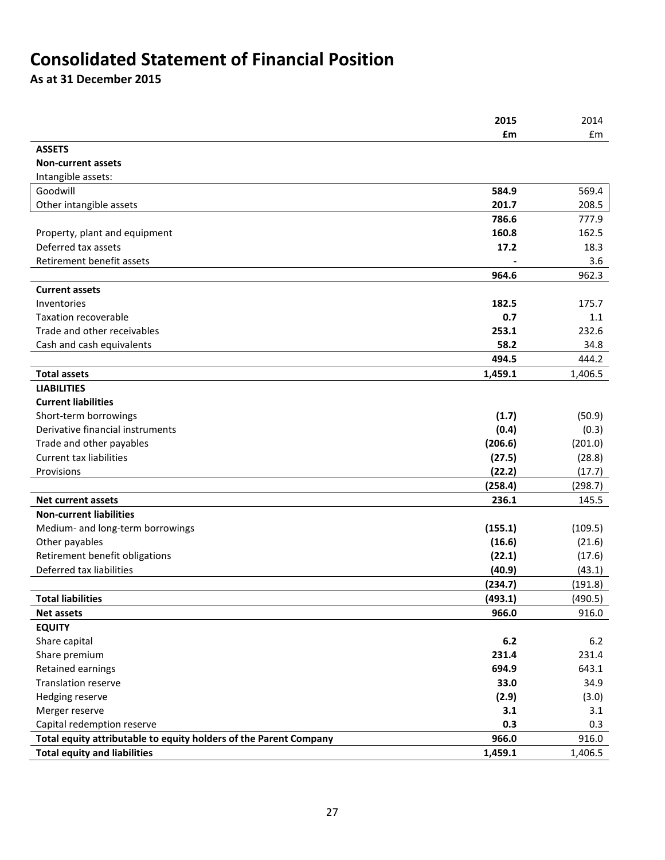## **Consolidated Statement of Financial Position**

**As at 31 December 2015**

|                                                                   | 2015    | 2014    |
|-------------------------------------------------------------------|---------|---------|
|                                                                   | £m      | Em      |
| <b>ASSETS</b>                                                     |         |         |
| <b>Non-current assets</b>                                         |         |         |
| Intangible assets:                                                |         |         |
| Goodwill                                                          | 584.9   | 569.4   |
| Other intangible assets                                           | 201.7   | 208.5   |
|                                                                   | 786.6   | 777.9   |
| Property, plant and equipment                                     | 160.8   | 162.5   |
| Deferred tax assets                                               | 17.2    | 18.3    |
| Retirement benefit assets                                         |         | 3.6     |
|                                                                   | 964.6   | 962.3   |
| <b>Current assets</b>                                             |         |         |
| Inventories                                                       | 182.5   | 175.7   |
| <b>Taxation recoverable</b>                                       | 0.7     | 1.1     |
| Trade and other receivables                                       | 253.1   | 232.6   |
| Cash and cash equivalents                                         | 58.2    | 34.8    |
|                                                                   | 494.5   | 444.2   |
| <b>Total assets</b>                                               | 1,459.1 | 1,406.5 |
| <b>LIABILITIES</b>                                                |         |         |
| <b>Current liabilities</b>                                        |         |         |
| Short-term borrowings                                             | (1.7)   | (50.9)  |
| Derivative financial instruments                                  | (0.4)   | (0.3)   |
| Trade and other payables                                          | (206.6) | (201.0) |
| <b>Current tax liabilities</b>                                    | (27.5)  | (28.8)  |
| Provisions                                                        | (22.2)  | (17.7)  |
|                                                                   | (258.4) | (298.7) |
| <b>Net current assets</b>                                         | 236.1   | 145.5   |
| <b>Non-current liabilities</b>                                    |         |         |
| Medium- and long-term borrowings                                  | (155.1) | (109.5) |
| Other payables                                                    | (16.6)  | (21.6)  |
| Retirement benefit obligations                                    | (22.1)  | (17.6)  |
| Deferred tax liabilities                                          | (40.9)  | (43.1)  |
|                                                                   | (234.7) | (191.8) |
| <b>Total liabilities</b>                                          | (493.1) | (490.5) |
| Net assets                                                        | 966.0   | 916.0   |
| <b>EQUITY</b>                                                     |         |         |
| Share capital                                                     | 6.2     | 6.2     |
| Share premium                                                     | 231.4   | 231.4   |
| Retained earnings                                                 | 694.9   | 643.1   |
| <b>Translation reserve</b>                                        | 33.0    | 34.9    |
| Hedging reserve                                                   | (2.9)   | (3.0)   |
| Merger reserve                                                    | 3.1     | 3.1     |
| Capital redemption reserve                                        | 0.3     | 0.3     |
| Total equity attributable to equity holders of the Parent Company | 966.0   | 916.0   |
| <b>Total equity and liabilities</b>                               | 1,459.1 | 1,406.5 |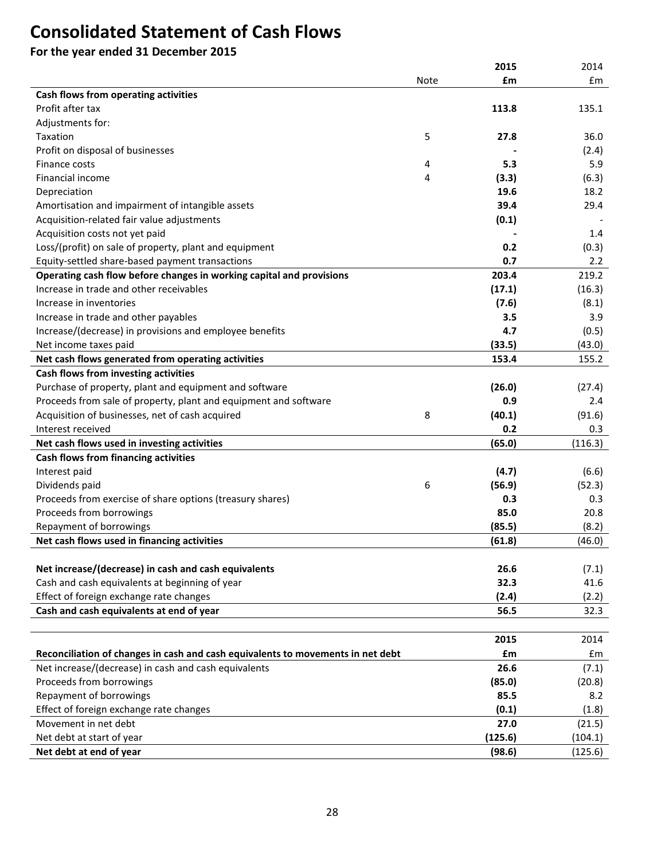## **Consolidated Statement of Cash Flows**

**For the year ended 31 December 2015**

|                                                                                                        |      | 2015    | 2014          |
|--------------------------------------------------------------------------------------------------------|------|---------|---------------|
|                                                                                                        | Note | £m      | $\mathsf{fm}$ |
| Cash flows from operating activities                                                                   |      |         |               |
| Profit after tax                                                                                       |      | 113.8   | 135.1         |
| Adjustments for:                                                                                       |      |         |               |
| Taxation                                                                                               | 5    | 27.8    | 36.0          |
| Profit on disposal of businesses                                                                       |      |         | (2.4)         |
| Finance costs                                                                                          | 4    | 5.3     | 5.9           |
| Financial income                                                                                       | 4    | (3.3)   | (6.3)         |
| Depreciation                                                                                           |      | 19.6    | 18.2          |
| Amortisation and impairment of intangible assets                                                       |      | 39.4    | 29.4          |
| Acquisition-related fair value adjustments                                                             |      | (0.1)   |               |
| Acquisition costs not yet paid                                                                         |      |         | 1.4           |
| Loss/(profit) on sale of property, plant and equipment                                                 |      | 0.2     | (0.3)         |
| Equity-settled share-based payment transactions                                                        |      | 0.7     | 2.2           |
| Operating cash flow before changes in working capital and provisions                                   |      | 203.4   | 219.2         |
| Increase in trade and other receivables                                                                |      | (17.1)  | (16.3)        |
| Increase in inventories                                                                                |      | (7.6)   | (8.1)         |
| Increase in trade and other payables                                                                   |      | 3.5     | 3.9           |
| Increase/(decrease) in provisions and employee benefits                                                |      | 4.7     | (0.5)         |
| Net income taxes paid                                                                                  |      | (33.5)  | (43.0)        |
| Net cash flows generated from operating activities                                                     |      | 153.4   | 155.2         |
| Cash flows from investing activities                                                                   |      |         |               |
| Purchase of property, plant and equipment and software                                                 |      | (26.0)  | (27.4)        |
| Proceeds from sale of property, plant and equipment and software                                       |      | 0.9     | 2.4           |
| Acquisition of businesses, net of cash acquired                                                        | 8    | (40.1)  | (91.6)        |
| Interest received                                                                                      |      | 0.2     | 0.3           |
| Net cash flows used in investing activities                                                            |      | (65.0)  | (116.3)       |
| Cash flows from financing activities                                                                   |      |         |               |
| Interest paid                                                                                          |      | (4.7)   | (6.6)         |
| Dividends paid                                                                                         | 6    | (56.9)  | (52.3)        |
| Proceeds from exercise of share options (treasury shares)                                              |      | 0.3     | 0.3           |
| Proceeds from borrowings                                                                               |      | 85.0    | 20.8          |
| Repayment of borrowings                                                                                |      | (85.5)  | (8.2)         |
|                                                                                                        |      |         |               |
| Net cash flows used in financing activities                                                            |      | (61.8)  | (46.0)        |
|                                                                                                        |      | 26.6    |               |
| Net increase/(decrease) in cash and cash equivalents<br>Cash and cash equivalents at beginning of year |      | 32.3    | (7.1)<br>41.6 |
|                                                                                                        |      |         |               |
| Effect of foreign exchange rate changes                                                                |      | (2.4)   | (2.2)         |
| Cash and cash equivalents at end of year                                                               |      | 56.5    | 32.3          |
|                                                                                                        |      |         |               |
|                                                                                                        |      | 2015    | 2014          |
| Reconciliation of changes in cash and cash equivalents to movements in net debt                        |      | £m      | £m            |
| Net increase/(decrease) in cash and cash equivalents                                                   |      | 26.6    | (7.1)         |
| Proceeds from borrowings                                                                               |      | (85.0)  | (20.8)        |
| Repayment of borrowings                                                                                |      | 85.5    | 8.2           |
| Effect of foreign exchange rate changes                                                                |      | (0.1)   | (1.8)         |
| Movement in net debt                                                                                   |      | 27.0    | (21.5)        |
| Net debt at start of year                                                                              |      | (125.6) | (104.1)       |
| Net debt at end of year                                                                                |      | (98.6)  | (125.6)       |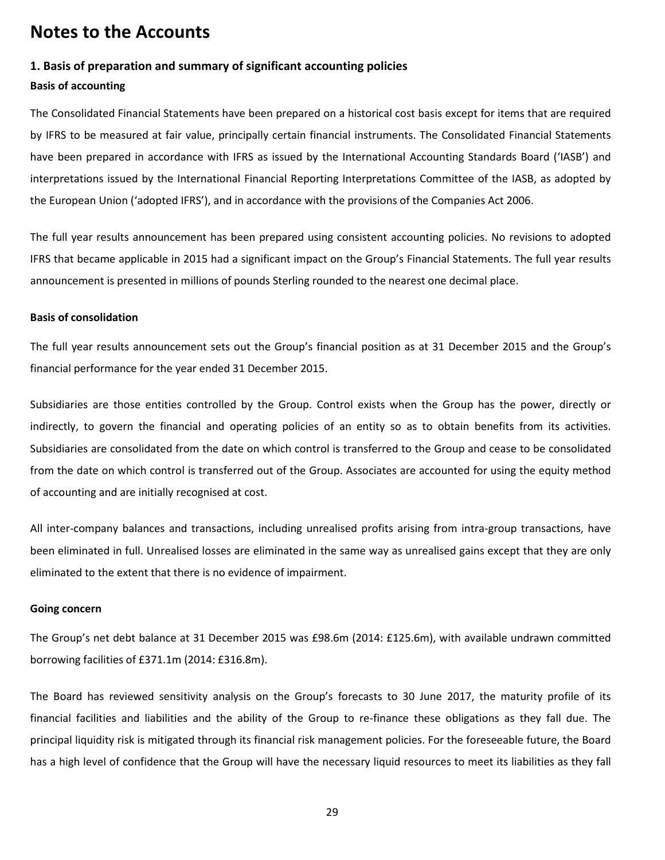### **Notes to the Accounts**

#### **1. Basis of preparation and summary of significant accounting policies**

#### **Basis of accounting**

The Consolidated Financial Statements have been prepared on a historical cost basis except for items that are required by IFRS to be measured at fair value, principally certain financial instruments. The Consolidated Financial Statements have been prepared in accordance with IFRS as issued by the International Accounting Standards Board ('IASB') and interpretations issued by the International Financial Reporting Interpretations Committee of the IASB, as adopted by the European Union ('adopted IFRS'), and in accordance with the provisions of the Companies Act 2006.

The full year results announcement has been prepared using consistent accounting policies. No revisions to adopted IFRS that became applicable in 2015 had a significant impact on the Group's Financial Statements. The full year results announcement is presented in millions of pounds Sterling rounded to the nearest one decimal place.

#### **Basis of consolidation**

The full year results announcement sets out the Group's financial position as at 31 December 2015 and the Group's financial performance for the year ended 31 December 2015.

Subsidiaries are those entities controlled by the Group. Control exists when the Group has the power, directly or indirectly, to govern the financial and operating policies of an entity so as to obtain benefits from its activities. Subsidiaries are consolidated from the date on which control is transferred to the Group and cease to be consolidated from the date on which control is transferred out of the Group. Associates are accounted for using the equity method of accounting and are initially recognised at cost.

All inter-company balances and transactions, including unrealised profits arising from intra-group transactions, have been eliminated in full. Unrealised losses are eliminated in the same way as unrealised gains except that they are only eliminated to the extent that there is no evidence of impairment.

#### **Going concern**

The Group's net debt balance at 31 December 2015 was £98.6m (2014: £125.6m), with available undrawn committed borrowing facilities of £371.1m (2014: £316.8m).

The Board has reviewed sensitivity analysis on the Group's forecasts to 30 June 2017, the maturity profile of its financial facilities and liabilities and the ability of the Group to re-finance these obligations as they fall due. The principal liquidity risk is mitigated through its financial risk management policies. For the foreseeable future, the Board has a high level of confidence that the Group will have the necessary liquid resources to meet its liabilities as they fall

29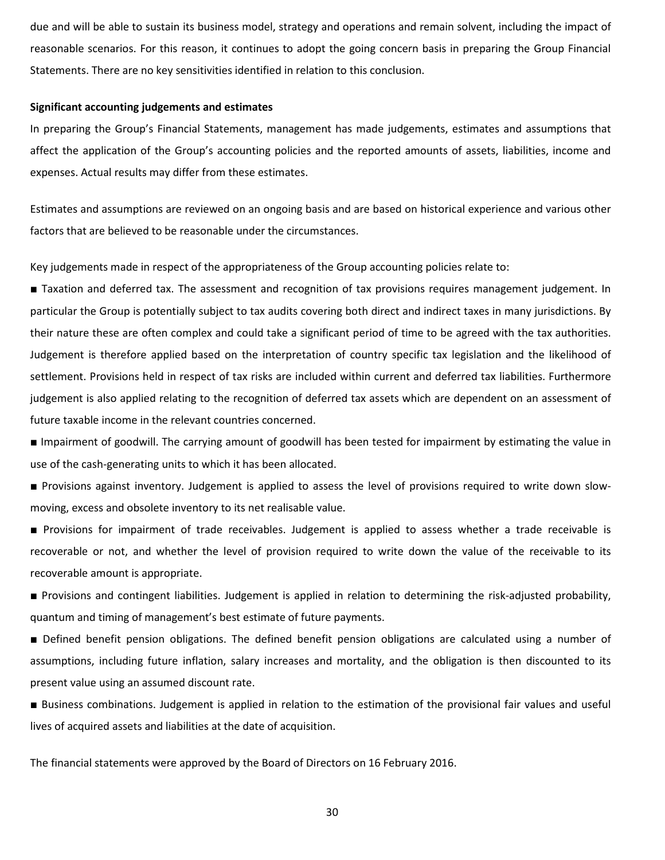due and will be able to sustain its business model, strategy and operations and remain solvent, including the impact of reasonable scenarios. For this reason, it continues to adopt the going concern basis in preparing the Group Financial Statements. There are no key sensitivities identified in relation to this conclusion.

#### **Significant accounting judgements and estimates**

In preparing the Group's Financial Statements, management has made judgements, estimates and assumptions that affect the application of the Group's accounting policies and the reported amounts of assets, liabilities, income and expenses. Actual results may differ from these estimates.

Estimates and assumptions are reviewed on an ongoing basis and are based on historical experience and various other factors that are believed to be reasonable under the circumstances.

Key judgements made in respect of the appropriateness of the Group accounting policies relate to:

■ Taxation and deferred tax. The assessment and recognition of tax provisions requires management judgement. In particular the Group is potentially subject to tax audits covering both direct and indirect taxes in many jurisdictions. By their nature these are often complex and could take a significant period of time to be agreed with the tax authorities. Judgement is therefore applied based on the interpretation of country specific tax legislation and the likelihood of settlement. Provisions held in respect of tax risks are included within current and deferred tax liabilities. Furthermore judgement is also applied relating to the recognition of deferred tax assets which are dependent on an assessment of future taxable income in the relevant countries concerned.

■ Impairment of goodwill. The carrying amount of goodwill has been tested for impairment by estimating the value in use of the cash-generating units to which it has been allocated.

■ Provisions against inventory. Judgement is applied to assess the level of provisions required to write down slowmoving, excess and obsolete inventory to its net realisable value.

■ Provisions for impairment of trade receivables. Judgement is applied to assess whether a trade receivable is recoverable or not, and whether the level of provision required to write down the value of the receivable to its recoverable amount is appropriate.

■ Provisions and contingent liabilities. Judgement is applied in relation to determining the risk-adjusted probability, quantum and timing of management's best estimate of future payments.

■ Defined benefit pension obligations. The defined benefit pension obligations are calculated using a number of assumptions, including future inflation, salary increases and mortality, and the obligation is then discounted to its present value using an assumed discount rate.

■ Business combinations. Judgement is applied in relation to the estimation of the provisional fair values and useful lives of acquired assets and liabilities at the date of acquisition.

The financial statements were approved by the Board of Directors on 16 February 2016.

30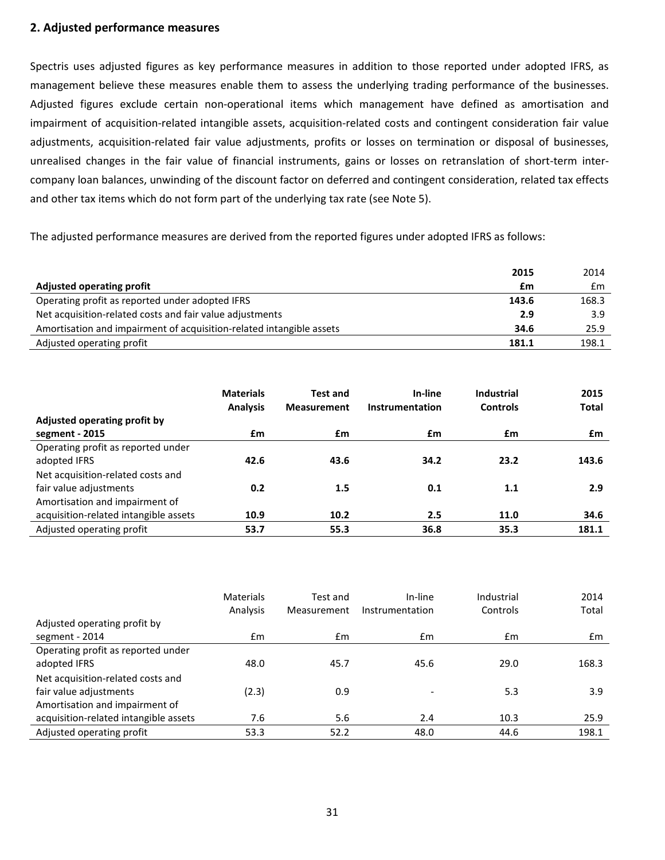#### **2. Adjusted performance measures**

Spectris uses adjusted figures as key performance measures in addition to those reported under adopted IFRS, as management believe these measures enable them to assess the underlying trading performance of the businesses. Adjusted figures exclude certain non-operational items which management have defined as amortisation and impairment of acquisition-related intangible assets, acquisition-related costs and contingent consideration fair value adjustments, acquisition-related fair value adjustments, profits or losses on termination or disposal of businesses, unrealised changes in the fair value of financial instruments, gains or losses on retranslation of short-term intercompany loan balances, unwinding of the discount factor on deferred and contingent consideration, related tax effects and other tax items which do not form part of the underlying tax rate (see Note 5).

The adjusted performance measures are derived from the reported figures under adopted IFRS as follows:

|                                                                      | 2015  | 2014  |
|----------------------------------------------------------------------|-------|-------|
| <b>Adjusted operating profit</b>                                     | £m    | £m    |
| Operating profit as reported under adopted IFRS                      | 143.6 | 168.3 |
| Net acquisition-related costs and fair value adjustments             | 2.9   | 3.9   |
| Amortisation and impairment of acquisition-related intangible assets | 34.6  | 25.9  |
| Adjusted operating profit                                            | 181.1 | 198.1 |

|                                       | <b>Materials</b> | <b>Test and</b>    | In-line         | <b>Industrial</b> | 2015         |
|---------------------------------------|------------------|--------------------|-----------------|-------------------|--------------|
|                                       | <b>Analysis</b>  | <b>Measurement</b> | Instrumentation | <b>Controls</b>   | <b>Total</b> |
| Adjusted operating profit by          |                  |                    |                 |                   |              |
| segment - 2015                        | £m               | £m                 | £m              | £m                | £m           |
| Operating profit as reported under    |                  |                    |                 |                   |              |
| adopted IFRS                          | 42.6             | 43.6               | 34.2            | 23.2              | 143.6        |
| Net acquisition-related costs and     |                  |                    |                 |                   |              |
| fair value adjustments                | 0.2              | 1.5                | 0.1             | 1.1               | 2.9          |
| Amortisation and impairment of        |                  |                    |                 |                   |              |
| acquisition-related intangible assets | 10.9             | 10.2               | 2.5             | 11.0              | 34.6         |
| Adjusted operating profit             | 53.7             | 55.3               | 36.8            | 35.3              | 181.1        |

|                                       | <b>Materials</b><br>Analysis | Test and<br>Measurement | In-line<br>Instrumentation | Industrial<br>Controls | 2014<br>Total |
|---------------------------------------|------------------------------|-------------------------|----------------------------|------------------------|---------------|
| Adjusted operating profit by          |                              |                         |                            |                        |               |
| segment - 2014                        | $\mathsf{fm}$                | $\mathsf{fm}$           | $\mathsf{fm}$              | Em                     | $\mathsf{fm}$ |
| Operating profit as reported under    |                              |                         |                            |                        |               |
| adopted IFRS                          | 48.0                         | 45.7                    | 45.6                       | 29.0                   | 168.3         |
| Net acquisition-related costs and     |                              |                         |                            |                        |               |
| fair value adjustments                | (2.3)                        | 0.9                     |                            | 5.3                    | 3.9           |
| Amortisation and impairment of        |                              |                         |                            |                        |               |
| acquisition-related intangible assets | 7.6                          | 5.6                     | 2.4                        | 10.3                   | 25.9          |
| Adjusted operating profit             | 53.3                         | 52.2                    | 48.0                       | 44.6                   | 198.1         |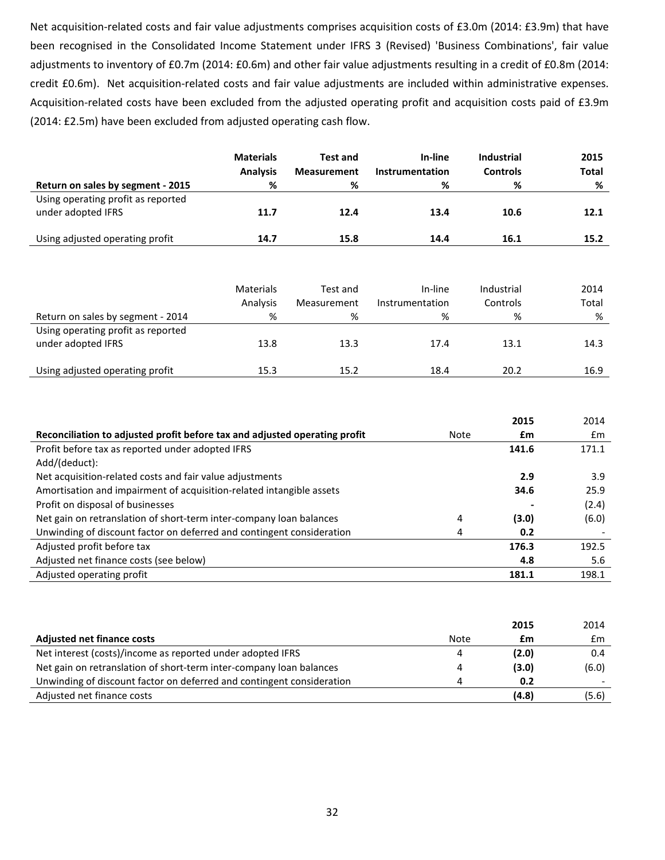Net acquisition-related costs and fair value adjustments comprises acquisition costs of £3.0m (2014: £3.9m) that have been recognised in the Consolidated Income Statement under IFRS 3 (Revised) 'Business Combinations', fair value adjustments to inventory of £0.7m (2014: £0.6m) and other fair value adjustments resulting in a credit of £0.8m (2014: credit £0.6m). Net acquisition-related costs and fair value adjustments are included within administrative expenses. Acquisition-related costs have been excluded from the adjusted operating profit and acquisition costs paid of £3.9m (2014: £2.5m) have been excluded from adjusted operating cash flow.

| Return on sales by segment - 2015                        | <b>Materials</b><br><b>Analysis</b><br>% | <b>Test and</b><br><b>Measurement</b><br>% | In-line<br>Instrumentation<br>% | <b>Industrial</b><br><b>Controls</b><br>% | 2015<br><b>Total</b><br>% |
|----------------------------------------------------------|------------------------------------------|--------------------------------------------|---------------------------------|-------------------------------------------|---------------------------|
| Using operating profit as reported<br>under adopted IFRS | 11.7                                     | 12.4                                       | 13.4                            | 10.6                                      | 12.1                      |
| Using adjusted operating profit                          | 14.7                                     | 15.8                                       | 14.4                            | 16.1                                      | 15.2                      |

|                                                          | Materials<br>Analysis | Test and<br>Measurement | In-line<br>Instrumentation | Industrial<br>Controls | 2014<br>Total |
|----------------------------------------------------------|-----------------------|-------------------------|----------------------------|------------------------|---------------|
| Return on sales by segment - 2014                        | %                     | %                       | %                          | %                      | %             |
| Using operating profit as reported<br>under adopted IFRS | 13.8                  | 13.3                    | 17.4                       | 13.1                   | 14.3          |
| Using adjusted operating profit                          | 15.3                  | 15.2                    | 18.4                       | 20.2                   | 16.9          |

|                                                                            |      | 2015  | 2014  |
|----------------------------------------------------------------------------|------|-------|-------|
| Reconciliation to adjusted profit before tax and adjusted operating profit | Note | £m    | £m    |
| Profit before tax as reported under adopted IFRS                           |      | 141.6 | 171.1 |
| Add/(deduct):                                                              |      |       |       |
| Net acquisition-related costs and fair value adjustments                   |      | 2.9   | 3.9   |
| Amortisation and impairment of acquisition-related intangible assets       |      | 34.6  | 25.9  |
| Profit on disposal of businesses                                           |      |       | (2.4) |
| Net gain on retranslation of short-term inter-company loan balances        | 4    | (3.0) | (6.0) |
| Unwinding of discount factor on deferred and contingent consideration      |      | 0.2   |       |
| Adjusted profit before tax                                                 |      | 176.3 | 192.5 |
| Adjusted net finance costs (see below)                                     |      | 4.8   | 5.6   |
| Adjusted operating profit                                                  |      | 181.1 | 198.1 |

|                                                                       |             | 2015  | 2014  |
|-----------------------------------------------------------------------|-------------|-------|-------|
| <b>Adjusted net finance costs</b>                                     | <b>Note</b> | £m    | £m    |
| Net interest (costs)/income as reported under adopted IFRS            | 4           | (2.0) | 0.4   |
| Net gain on retranslation of short-term inter-company loan balances   | Δ           | (3.0) | (6.0) |
| Unwinding of discount factor on deferred and contingent consideration |             | 0.2   |       |
| Adjusted net finance costs                                            |             | (4.8) | (5.6) |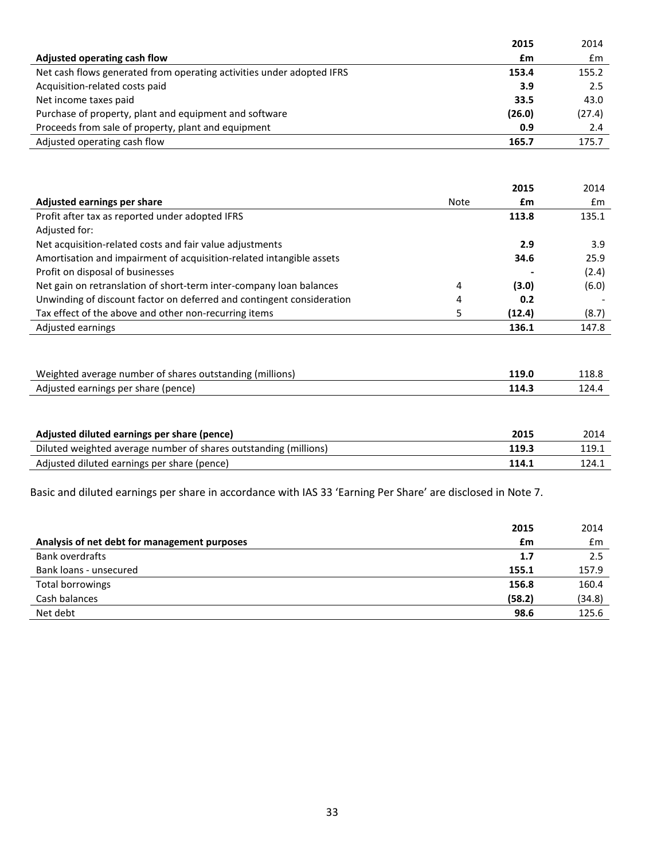| 2015                                                                           | 2014   |
|--------------------------------------------------------------------------------|--------|
| Adjusted operating cash flow<br>£m                                             | £m     |
| Net cash flows generated from operating activities under adopted IFRS<br>153.4 | 155.2  |
| Acquisition-related costs paid<br>3.9                                          | 2.5    |
| Net income taxes paid<br>33.5                                                  | 43.0   |
| Purchase of property, plant and equipment and software<br>(26.0)               | (27.4) |
| Proceeds from sale of property, plant and equipment<br>0.9                     | 2.4    |
| Adjusted operating cash flow<br>165.7                                          | 175.7  |

|                                                                       |      | 2015   | 2014  |
|-----------------------------------------------------------------------|------|--------|-------|
| Adjusted earnings per share                                           | Note | £m     | £m    |
| Profit after tax as reported under adopted IFRS                       |      | 113.8  | 135.1 |
| Adjusted for:                                                         |      |        |       |
| Net acquisition-related costs and fair value adjustments              |      | 2.9    | 3.9   |
| Amortisation and impairment of acquisition-related intangible assets  |      | 34.6   | 25.9  |
| Profit on disposal of businesses                                      |      |        | (2.4) |
| Net gain on retranslation of short-term inter-company loan balances   | 4    | (3.0)  | (6.0) |
| Unwinding of discount factor on deferred and contingent consideration | 4    | 0.2    |       |
| Tax effect of the above and other non-recurring items                 |      | (12.4) | (8.7) |
| Adjusted earnings                                                     |      | 136.1  | 147.8 |
|                                                                       |      |        |       |

| Weighted average number of shares outstanding (millions) |       | 118.8 |
|----------------------------------------------------------|-------|-------|
| Adjusted earnings per share (pence)                      | 114.3 | 124.  |

| Adjusted diluted earnings per share (pence)                      | 2015  | 2014  |
|------------------------------------------------------------------|-------|-------|
| Diluted weighted average number of shares outstanding (millions) | 119.3 | 119.1 |
| Adjusted diluted earnings per share (pence)                      | 114.1 | 124.1 |

Basic and diluted earnings per share in accordance with IAS 33 'Earning Per Share' are disclosed in Note 7.

|                                              | 2015   | 2014   |
|----------------------------------------------|--------|--------|
| Analysis of net debt for management purposes | £m     | £m     |
| <b>Bank overdrafts</b>                       | 1.7    | 2.5    |
| Bank loans - unsecured                       | 155.1  | 157.9  |
| Total borrowings                             | 156.8  | 160.4  |
| Cash balances                                | (58.2) | (34.8) |
| Net debt                                     | 98.6   | 125.6  |
|                                              |        |        |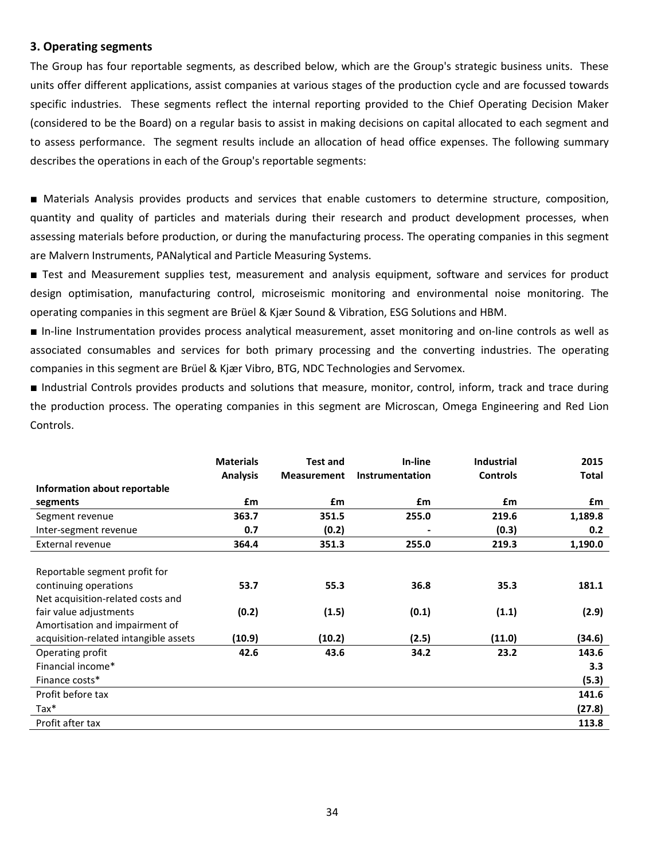#### **3. Operating segments**

The Group has four reportable segments, as described below, which are the Group's strategic business units. These units offer different applications, assist companies at various stages of the production cycle and are focussed towards specific industries. These segments reflect the internal reporting provided to the Chief Operating Decision Maker (considered to be the Board) on a regular basis to assist in making decisions on capital allocated to each segment and to assess performance. The segment results include an allocation of head office expenses. The following summary describes the operations in each of the Group's reportable segments:

■ Materials Analysis provides products and services that enable customers to determine structure, composition, quantity and quality of particles and materials during their research and product development processes, when assessing materials before production, or during the manufacturing process. The operating companies in this segment are Malvern Instruments, PANalytical and Particle Measuring Systems.

■ Test and Measurement supplies test, measurement and analysis equipment, software and services for product design optimisation, manufacturing control, microseismic monitoring and environmental noise monitoring. The operating companies in this segment are Brüel & Kjær Sound & Vibration, ESG Solutions and HBM.

■ In-line Instrumentation provides process analytical measurement, asset monitoring and on-line controls as well as associated consumables and services for both primary processing and the converting industries. The operating companies in this segment are Brüel & Kjær Vibro, BTG, NDC Technologies and Servomex.

■ Industrial Controls provides products and solutions that measure, monitor, control, inform, track and trace during the production process. The operating companies in this segment are Microscan, Omega Engineering and Red Lion Controls.

|                                       | <b>Materials</b><br><b>Analysis</b> | <b>Test and</b><br><b>Measurement</b> | In-line<br>Instrumentation | <b>Industrial</b><br><b>Controls</b> | 2015<br>Total |
|---------------------------------------|-------------------------------------|---------------------------------------|----------------------------|--------------------------------------|---------------|
| Information about reportable          |                                     |                                       |                            |                                      |               |
| segments                              | £m                                  | £m                                    | £m                         | £m                                   | £m            |
| Segment revenue                       | 363.7                               | 351.5                                 | 255.0                      | 219.6                                | 1,189.8       |
| Inter-segment revenue                 | 0.7                                 | (0.2)                                 |                            | (0.3)                                | 0.2           |
| External revenue                      | 364.4                               | 351.3                                 | 255.0                      | 219.3                                | 1,190.0       |
|                                       |                                     |                                       |                            |                                      |               |
| Reportable segment profit for         |                                     |                                       |                            |                                      |               |
| continuing operations                 | 53.7                                | 55.3                                  | 36.8                       | 35.3                                 | 181.1         |
| Net acquisition-related costs and     |                                     |                                       |                            |                                      |               |
| fair value adjustments                | (0.2)                               | (1.5)                                 | (0.1)                      | (1.1)                                | (2.9)         |
| Amortisation and impairment of        |                                     |                                       |                            |                                      |               |
| acquisition-related intangible assets | (10.9)                              | (10.2)                                | (2.5)                      | (11.0)                               | (34.6)        |
| Operating profit                      | 42.6                                | 43.6                                  | 34.2                       | 23.2                                 | 143.6         |
| Financial income*                     |                                     |                                       |                            |                                      | 3.3           |
| Finance costs*                        |                                     |                                       |                            |                                      | (5.3)         |
| Profit before tax                     |                                     |                                       |                            |                                      | 141.6         |
| $Tax*$                                |                                     |                                       |                            |                                      | (27.8)        |
| Profit after tax                      |                                     |                                       |                            |                                      | 113.8         |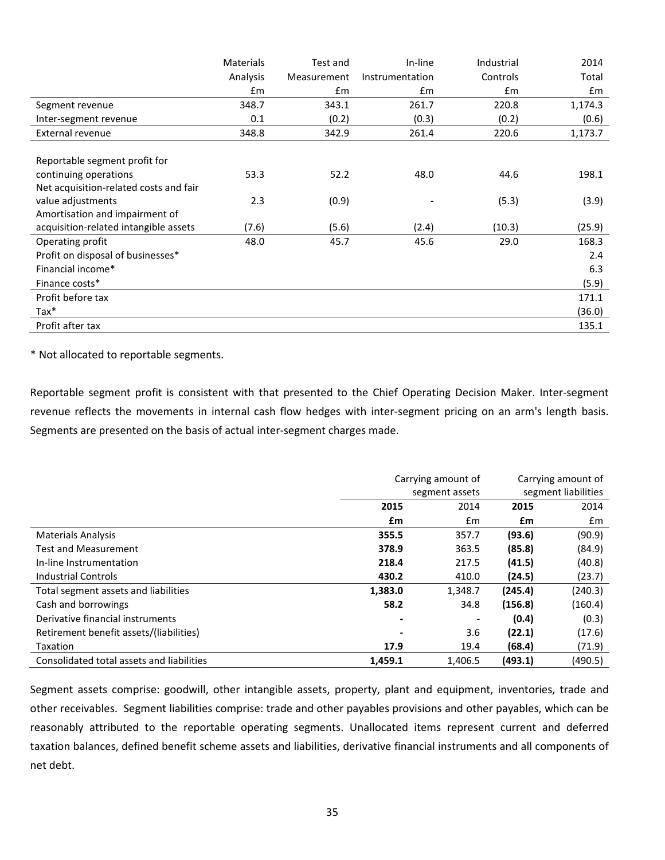|                                        | Materials | Test and    | In-line         | Industrial | 2014    |
|----------------------------------------|-----------|-------------|-----------------|------------|---------|
|                                        | Analysis  | Measurement | Instrumentation | Controls   | Total   |
|                                        | £m        | £m          | £m              | £m         | £m      |
| Segment revenue                        | 348.7     | 343.1       | 261.7           | 220.8      | 1,174.3 |
| Inter-segment revenue                  | 0.1       | (0.2)       | (0.3)           | (0.2)      | (0.6)   |
| External revenue                       | 348.8     | 342.9       | 261.4           | 220.6      | 1,173.7 |
|                                        |           |             |                 |            |         |
| Reportable segment profit for          |           |             |                 |            |         |
| continuing operations                  | 53.3      | 52.2        | 48.0            | 44.6       | 198.1   |
| Net acquisition-related costs and fair |           |             |                 |            |         |
| value adjustments                      | 2.3       | (0.9)       |                 | (5.3)      | (3.9)   |
| Amortisation and impairment of         |           |             |                 |            |         |
| acquisition-related intangible assets  | (7.6)     | (5.6)       | (2.4)           | (10.3)     | (25.9)  |
| Operating profit                       | 48.0      | 45.7        | 45.6            | 29.0       | 168.3   |
| Profit on disposal of businesses*      |           |             |                 |            | 2.4     |
| Financial income*                      |           |             |                 |            | 6.3     |
| Finance costs*                         |           |             |                 |            | (5.9)   |
| Profit before tax                      |           |             |                 |            | 171.1   |
| $\text{Tax*}$                          |           |             |                 |            | (36.0)  |
| Profit after tax                       |           |             |                 |            | 135.1   |

\* Not allocated to reportable segments.

Reportable segment profit is consistent with that presented to the Chief Operating Decision Maker. Inter-segment revenue reflects the movements in internal cash flow hedges with inter-segment pricing on an arm's length basis. Segments are presented on the basis of actual inter-segment charges made.

|                                           | Carrying amount of | Carrying amount of |                     |         |
|-------------------------------------------|--------------------|--------------------|---------------------|---------|
|                                           |                    | segment assets     | segment liabilities |         |
|                                           | 2015               | 2014               | 2015                | 2014    |
|                                           | £m                 | £m                 | £m                  | £m      |
| <b>Materials Analysis</b>                 | 355.5              | 357.7              | (93.6)              | (90.9)  |
| <b>Test and Measurement</b>               | 378.9              | 363.5              | (85.8)              | (84.9)  |
| In-line Instrumentation                   | 218.4              | 217.5              | (41.5)              | (40.8)  |
| <b>Industrial Controls</b>                | 430.2              | 410.0              | (24.5)              | (23.7)  |
| Total segment assets and liabilities      | 1,383.0            | 1,348.7            | (245.4)             | (240.3) |
| Cash and borrowings                       | 58.2               | 34.8               | (156.8)             | (160.4) |
| Derivative financial instruments          |                    |                    | (0.4)               | (0.3)   |
| Retirement benefit assets/(liabilities)   |                    | 3.6                | (22.1)              | (17.6)  |
| Taxation                                  | 17.9               | 19.4               | (68.4)              | (71.9)  |
| Consolidated total assets and liabilities | 1,459.1            | 1.406.5            | (493.1)             | (490.5) |

Segment assets comprise: goodwill, other intangible assets, property, plant and equipment, inventories, trade and other receivables. Segment liabilities comprise: trade and other payables provisions and other payables, which can be reasonably attributed to the reportable operating segments. Unallocated items represent current and deferred taxation balances, defined benefit scheme assets and liabilities, derivative financial instruments and all components of net debt.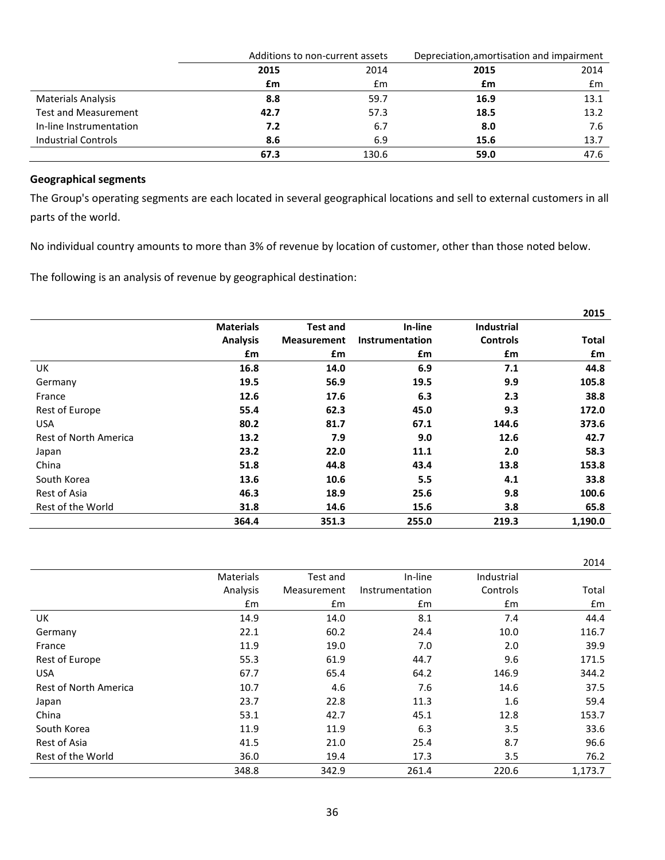|                             |      | Additions to non-current assets |      | Depreciation, amortisation and impairment |
|-----------------------------|------|---------------------------------|------|-------------------------------------------|
|                             | 2015 | 2014                            | 2015 | 2014                                      |
|                             | £m   | £m                              | £m   | $\mathsf{fm}$                             |
| <b>Materials Analysis</b>   | 8.8  | 59.7                            | 16.9 | 13.1                                      |
| <b>Test and Measurement</b> | 42.7 | 57.3                            | 18.5 | 13.2                                      |
| In-line Instrumentation     | 7.2  | 6.7                             | 8.0  | 7.6                                       |
| <b>Industrial Controls</b>  | 8.6  | 6.9                             | 15.6 | 13.7                                      |
|                             | 67.3 | 130.6                           | 59.0 | 47.6                                      |

#### **Geographical segments**

The Group's operating segments are each located in several geographical locations and sell to external customers in all parts of the world.

No individual country amounts to more than 3% of revenue by location of customer, other than those noted below.

The following is an analysis of revenue by geographical destination:

|                       |                  |                    |                 |                   | 2015         |
|-----------------------|------------------|--------------------|-----------------|-------------------|--------------|
|                       | <b>Materials</b> | <b>Test and</b>    | In-line         | <b>Industrial</b> |              |
|                       | <b>Analysis</b>  | <b>Measurement</b> | Instrumentation | <b>Controls</b>   | <b>Total</b> |
|                       | £m               | £m                 | £m              | £m                | £m           |
| UK                    | 16.8             | 14.0               | 6.9             | 7.1               | 44.8         |
| Germany               | 19.5             | 56.9               | 19.5            | 9.9               | 105.8        |
| France                | 12.6             | 17.6               | 6.3             | 2.3               | 38.8         |
| Rest of Europe        | 55.4             | 62.3               | 45.0            | 9.3               | 172.0        |
| <b>USA</b>            | 80.2             | 81.7               | 67.1            | 144.6             | 373.6        |
| Rest of North America | 13.2             | 7.9                | 9.0             | 12.6              | 42.7         |
| Japan                 | 23.2             | 22.0               | 11.1            | 2.0               | 58.3         |
| China                 | 51.8             | 44.8               | 43.4            | 13.8              | 153.8        |
| South Korea           | 13.6             | 10.6               | 5.5             | 4.1               | 33.8         |
| Rest of Asia          | 46.3             | 18.9               | 25.6            | 9.8               | 100.6        |
| Rest of the World     | 31.8             | 14.6               | 15.6            | 3.8               | 65.8         |
|                       | 364.4            | 351.3              | 255.0           | 219.3             | 1,190.0      |

|                       |                  |             |                 |            | 2014    |
|-----------------------|------------------|-------------|-----------------|------------|---------|
|                       | <b>Materials</b> | Test and    | In-line         | Industrial |         |
|                       | Analysis         | Measurement | Instrumentation | Controls   | Total   |
|                       | $\mathsf{fm}$    | £m          | £m              | £m         | Em      |
| UK                    | 14.9             | 14.0        | 8.1             | 7.4        | 44.4    |
| Germany               | 22.1             | 60.2        | 24.4            | 10.0       | 116.7   |
| France                | 11.9             | 19.0        | 7.0             | 2.0        | 39.9    |
| Rest of Europe        | 55.3             | 61.9        | 44.7            | 9.6        | 171.5   |
| <b>USA</b>            | 67.7             | 65.4        | 64.2            | 146.9      | 344.2   |
| Rest of North America | 10.7             | 4.6         | 7.6             | 14.6       | 37.5    |
| Japan                 | 23.7             | 22.8        | 11.3            | 1.6        | 59.4    |
| China                 | 53.1             | 42.7        | 45.1            | 12.8       | 153.7   |
| South Korea           | 11.9             | 11.9        | 6.3             | 3.5        | 33.6    |
| Rest of Asia          | 41.5             | 21.0        | 25.4            | 8.7        | 96.6    |
| Rest of the World     | 36.0             | 19.4        | 17.3            | 3.5        | 76.2    |
|                       | 348.8            | 342.9       | 261.4           | 220.6      | 1,173.7 |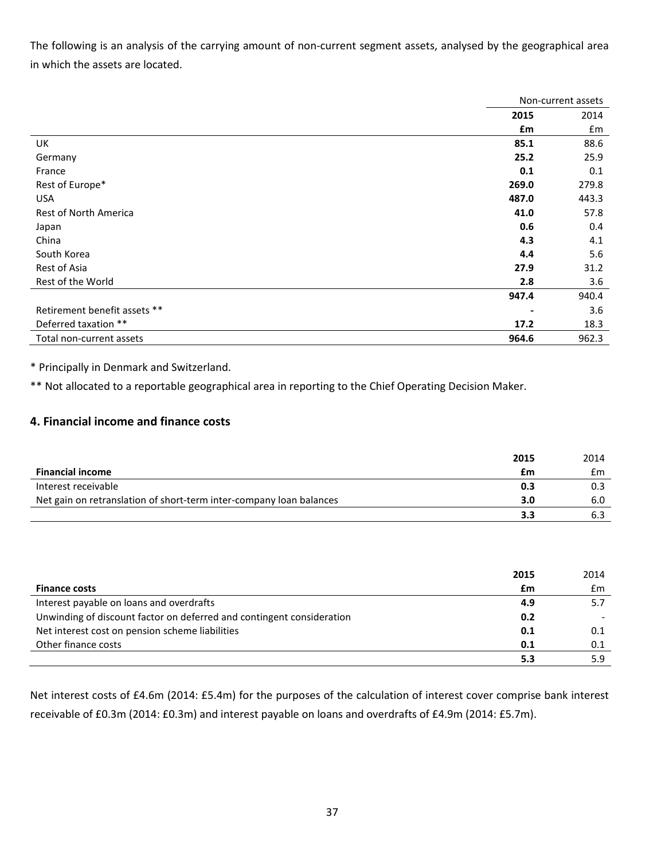The following is an analysis of the carrying amount of non-current segment assets, analysed by the geographical area in which the assets are located.

|                              | Non-current assets |       |
|------------------------------|--------------------|-------|
|                              | 2015               | 2014  |
|                              | £m                 | £m    |
| UK                           | 85.1               | 88.6  |
| Germany                      | 25.2               | 25.9  |
| France                       | 0.1                | 0.1   |
| Rest of Europe*              | 269.0              | 279.8 |
| <b>USA</b>                   | 487.0              | 443.3 |
| <b>Rest of North America</b> | 41.0               | 57.8  |
| Japan                        | 0.6                | 0.4   |
| China                        | 4.3                | 4.1   |
| South Korea                  | 4.4                | 5.6   |
| Rest of Asia                 | 27.9               | 31.2  |
| Rest of the World            | 2.8                | 3.6   |
|                              | 947.4              | 940.4 |
| Retirement benefit assets ** |                    | 3.6   |
| Deferred taxation **         | 17.2               | 18.3  |
| Total non-current assets     | 964.6              | 962.3 |

\* Principally in Denmark and Switzerland.

\*\* Not allocated to a reportable geographical area in reporting to the Chief Operating Decision Maker.

#### **4. Financial income and finance costs**

|                                                                     | 2015 | 2014 |
|---------------------------------------------------------------------|------|------|
| <b>Financial income</b>                                             | £m   | £m   |
| Interest receivable                                                 | 0.3  |      |
| Net gain on retranslation of short-term inter-company loan balances | 3.0  | 6.0  |
|                                                                     | 35   |      |

|                                                                       | 2015 | 2014 |
|-----------------------------------------------------------------------|------|------|
| <b>Finance costs</b>                                                  | £m   | £m   |
| Interest payable on loans and overdrafts                              | 4.9  | 5.7  |
| Unwinding of discount factor on deferred and contingent consideration | 0.2  |      |
| Net interest cost on pension scheme liabilities                       | 0.1  | 0.1  |
| Other finance costs                                                   | 0.1  | 0.1  |
|                                                                       | 5.3  | 5.9  |

Net interest costs of £4.6m (2014: £5.4m) for the purposes of the calculation of interest cover comprise bank interest receivable of £0.3m (2014: £0.3m) and interest payable on loans and overdrafts of £4.9m (2014: £5.7m).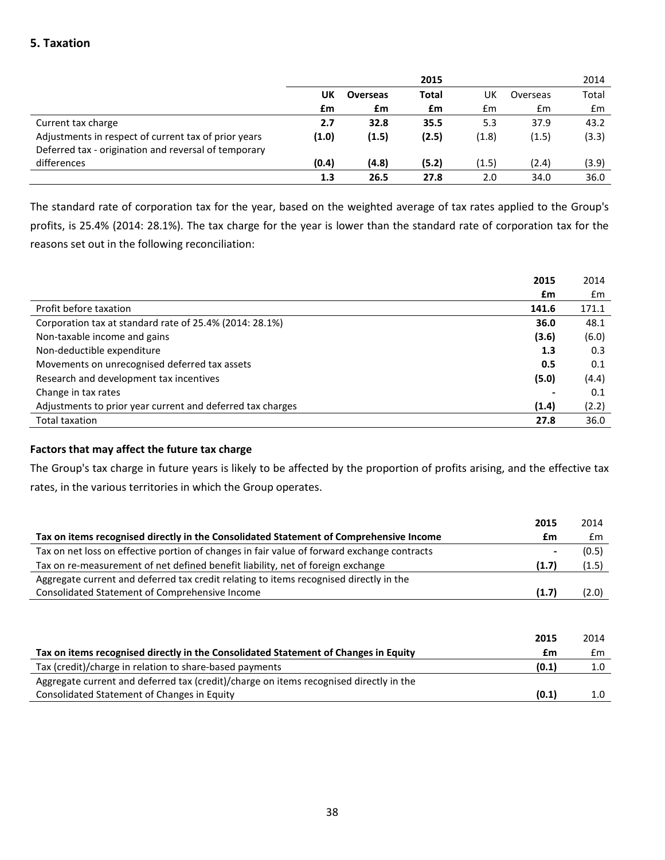#### **5. Taxation**

|                                                      |       |                 | 2015  |       |          | 2014          |
|------------------------------------------------------|-------|-----------------|-------|-------|----------|---------------|
|                                                      | UK    | <b>Overseas</b> | Total | UK    | Overseas | Total         |
|                                                      | £m    | £m              | £m    | £m    | £m       | $\mathsf{fm}$ |
| Current tax charge                                   | 2.7   | 32.8            | 35.5  | 5.3   | 37.9     | 43.2          |
| Adjustments in respect of current tax of prior years | (1.0) | (1.5)           | (2.5) | (1.8) | (1.5)    | (3.3)         |
| Deferred tax - origination and reversal of temporary |       |                 |       |       |          |               |
| differences                                          | (0.4) | (4.8)           | (5.2) | (1.5) | (2.4)    | (3.9)         |
|                                                      | 1.3   | 26.5            | 27.8  | 2.0   | 34.0     | 36.0          |

The standard rate of corporation tax for the year, based on the weighted average of tax rates applied to the Group's profits, is 25.4% (2014: 28.1%). The tax charge for the year is lower than the standard rate of corporation tax for the reasons set out in the following reconciliation:

|                                                            | 2015  | 2014  |
|------------------------------------------------------------|-------|-------|
|                                                            | £m    | £m    |
| Profit before taxation                                     | 141.6 | 171.1 |
| Corporation tax at standard rate of 25.4% (2014: 28.1%)    | 36.0  | 48.1  |
| Non-taxable income and gains                               | (3.6) | (6.0) |
| Non-deductible expenditure                                 | 1.3   | 0.3   |
| Movements on unrecognised deferred tax assets              | 0.5   | 0.1   |
| Research and development tax incentives                    | (5.0) | (4.4) |
| Change in tax rates                                        |       | 0.1   |
| Adjustments to prior year current and deferred tax charges | (1.4) | (2.2) |
| <b>Total taxation</b>                                      | 27.8  | 36.0  |

#### **Factors that may affect the future tax charge**

The Group's tax charge in future years is likely to be affected by the proportion of profits arising, and the effective tax rates, in the various territories in which the Group operates.

|                                                                                             | 2015  | 2014  |
|---------------------------------------------------------------------------------------------|-------|-------|
| Tax on items recognised directly in the Consolidated Statement of Comprehensive Income      | £m    | £m    |
| Tax on net loss on effective portion of changes in fair value of forward exchange contracts |       | (0.5) |
| Tax on re-measurement of net defined benefit liability, net of foreign exchange             | (1.7) | (1.5) |
| Aggregate current and deferred tax credit relating to items recognised directly in the      |       |       |
| Consolidated Statement of Comprehensive Income                                              | (1.7) | (2.0) |
|                                                                                             |       |       |

|                                                                                        | 2015  | 2014 |
|----------------------------------------------------------------------------------------|-------|------|
| Tax on items recognised directly in the Consolidated Statement of Changes in Equity    | £m    | £m   |
| Tax (credit)/charge in relation to share-based payments                                | (0.1) |      |
| Aggregate current and deferred tax (credit)/charge on items recognised directly in the |       |      |
| Consolidated Statement of Changes in Equity                                            | (0.1) |      |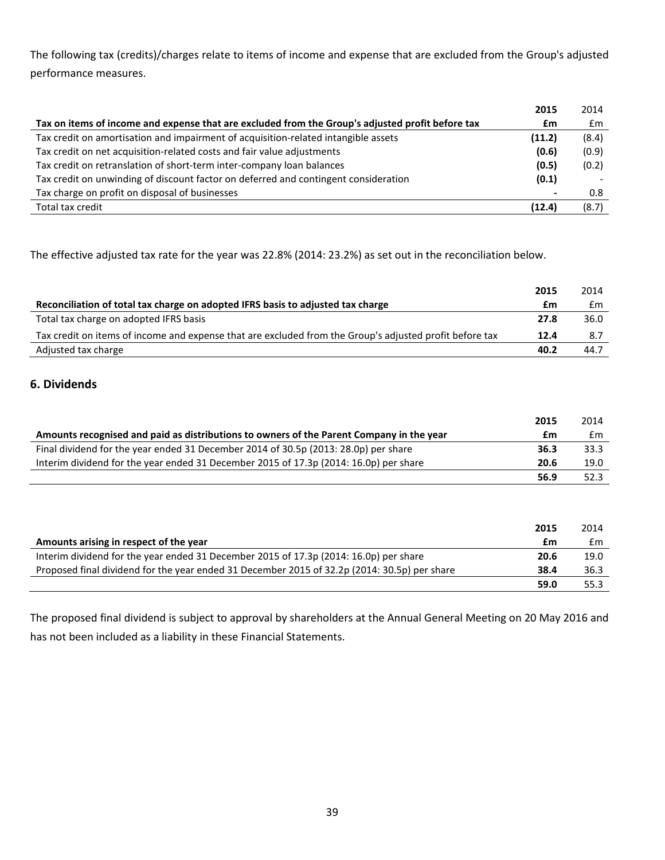The following tax (credits)/charges relate to items of income and expense that are excluded from the Group's adjusted performance measures.

|                                                                                                  | 2015   | 2014  |
|--------------------------------------------------------------------------------------------------|--------|-------|
| Tax on items of income and expense that are excluded from the Group's adjusted profit before tax | £m     | £m    |
| Tax credit on amortisation and impairment of acquisition-related intangible assets               | (11.2) | (8.4) |
| Tax credit on net acquisition-related costs and fair value adjustments                           | (0.6)  | (0.9) |
| Tax credit on retranslation of short-term inter-company loan balances                            | (0.5)  | (0.2) |
| Tax credit on unwinding of discount factor on deferred and contingent consideration              | (0.1)  |       |
| Tax charge on profit on disposal of businesses                                                   |        | 0.8   |
| Total tax credit                                                                                 | (12.4) | (8.7) |

The effective adjusted tax rate for the year was 22.8% (2014: 23.2%) as set out in the reconciliation below.

|                                                                                                         | 2015 | 2014 |
|---------------------------------------------------------------------------------------------------------|------|------|
| Reconciliation of total tax charge on adopted IFRS basis to adjusted tax charge                         | £m   | £m   |
| Total tax charge on adopted IFRS basis                                                                  | 27.8 | 36.0 |
| Tax credit on items of income and expense that are excluded from the Group's adjusted profit before tax | 12.4 | 8.7  |
| Adjusted tax charge                                                                                     | 40.2 | 44.7 |

#### **6. Dividends**

|                                                                                          | 2015 | 2014 |
|------------------------------------------------------------------------------------------|------|------|
| Amounts recognised and paid as distributions to owners of the Parent Company in the year | £m   | £m   |
| Final dividend for the year ended 31 December 2014 of 30.5p (2013: 28.0p) per share      | 36.3 | 33.3 |
| Interim dividend for the year ended 31 December 2015 of 17.3p (2014: 16.0p) per share    | 20.6 | 19.0 |
|                                                                                          | 56.9 | 52.3 |

|                                                                                              | 2015 | 2014 |
|----------------------------------------------------------------------------------------------|------|------|
| Amounts arising in respect of the year                                                       | £m   | £m   |
| Interim dividend for the year ended 31 December 2015 of 17.3p (2014: 16.0p) per share        | 20.6 | 19.0 |
| Proposed final dividend for the year ended 31 December 2015 of 32.2p (2014: 30.5p) per share | 38.4 | 36.3 |
|                                                                                              | 59.0 | 55.3 |

The proposed final dividend is subject to approval by shareholders at the Annual General Meeting on 20 May 2016 and has not been included as a liability in these Financial Statements.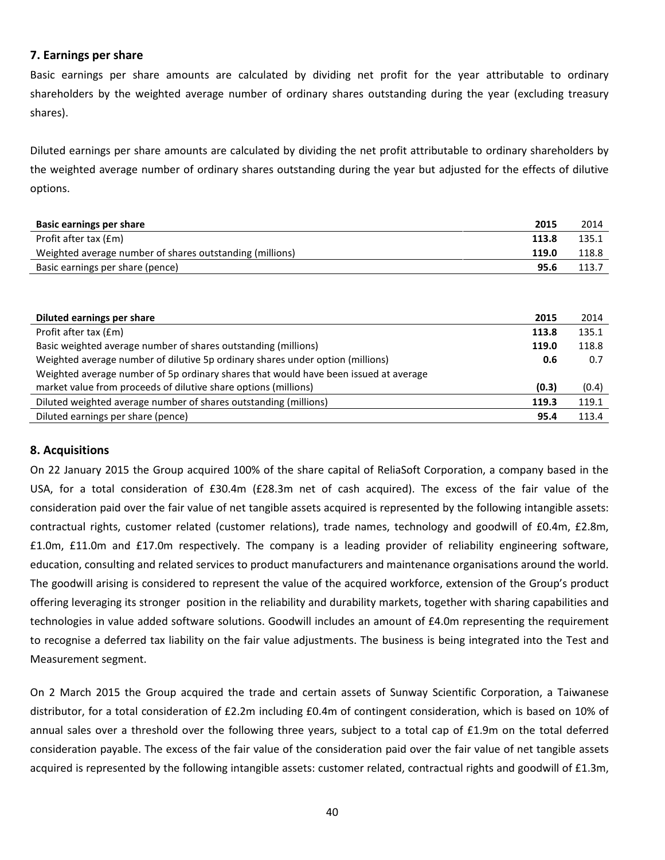#### **7. Earnings per share**

Basic earnings per share amounts are calculated by dividing net profit for the year attributable to ordinary shareholders by the weighted average number of ordinary shares outstanding during the year (excluding treasury shares).

Diluted earnings per share amounts are calculated by dividing the net profit attributable to ordinary shareholders by the weighted average number of ordinary shares outstanding during the year but adjusted for the effects of dilutive options.

| <b>Basic earnings per share</b>                                                | 2015  | 2014  |
|--------------------------------------------------------------------------------|-------|-------|
| Profit after tax (£m)                                                          | 113.8 | 135.1 |
| Weighted average number of shares outstanding (millions)                       | 119.0 | 118.8 |
| Basic earnings per share (pence)                                               | 95.6  | 113.7 |
|                                                                                |       |       |
|                                                                                |       |       |
| Diluted earnings per share                                                     | 2015  | 2014  |
| Profit after tax (£m)                                                          | 113.8 | 135.1 |
| Basic weighted average number of shares outstanding (millions)                 | 119.0 | 118.8 |
| Weighted average number of dilutive 5p ordinary shares under option (millions) | 0.6   | 0.7   |

| <u>VEIRTILEU AVETARE HUITIDEL OF UNULIVE JU OFUNITALY SHALES UNUEL ODLION (HIINOHS)</u> | v.v   | ν.,   |
|-----------------------------------------------------------------------------------------|-------|-------|
| Weighted average number of 5p ordinary shares that would have been issued at average    |       |       |
| market value from proceeds of dilutive share options (millions)                         | (0.3) | (0.4) |
| Diluted weighted average number of shares outstanding (millions)                        | 119.3 | 119.1 |
| Diluted earnings per share (pence)                                                      | 95.4  | 113.4 |

#### **8. Acquisitions**

On 22 January 2015 the Group acquired 100% of the share capital of ReliaSoft Corporation, a company based in the USA, for a total consideration of £30.4m (£28.3m net of cash acquired). The excess of the fair value of the consideration paid over the fair value of net tangible assets acquired is represented by the following intangible assets: contractual rights, customer related (customer relations), trade names, technology and goodwill of £0.4m, £2.8m, £1.0m, £11.0m and £17.0m respectively. The company is a leading provider of reliability engineering software, education, consulting and related services to product manufacturers and maintenance organisations around the world. The goodwill arising is considered to represent the value of the acquired workforce, extension of the Group's product offering leveraging its stronger position in the reliability and durability markets, together with sharing capabilities and technologies in value added software solutions. Goodwill includes an amount of £4.0m representing the requirement to recognise a deferred tax liability on the fair value adjustments. The business is being integrated into the Test and Measurement segment.

On 2 March 2015 the Group acquired the trade and certain assets of Sunway Scientific Corporation, a Taiwanese distributor, for a total consideration of £2.2m including £0.4m of contingent consideration, which is based on 10% of annual sales over a threshold over the following three years, subject to a total cap of £1.9m on the total deferred consideration payable. The excess of the fair value of the consideration paid over the fair value of net tangible assets acquired is represented by the following intangible assets: customer related, contractual rights and goodwill of £1.3m,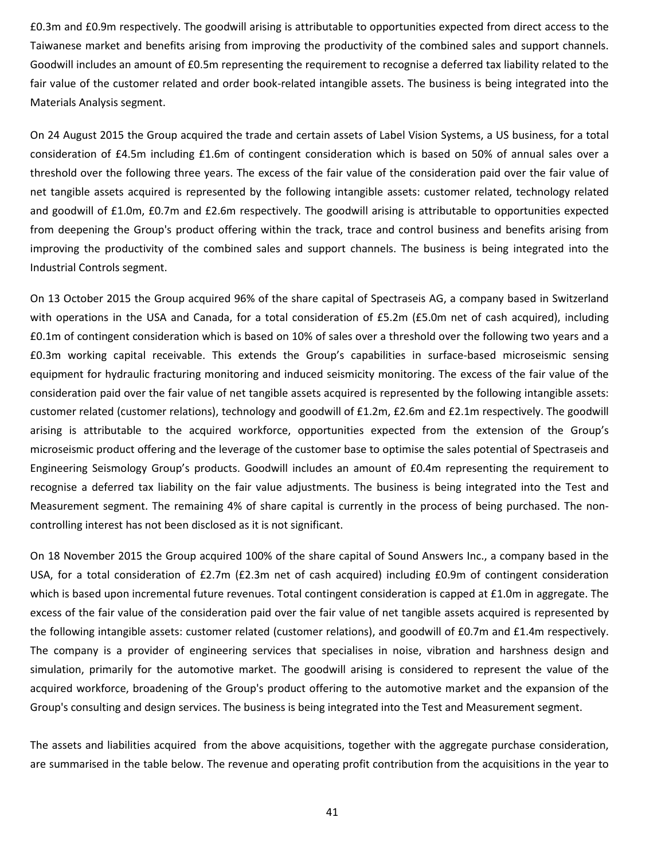£0.3m and £0.9m respectively. The goodwill arising is attributable to opportunities expected from direct access to the Taiwanese market and benefits arising from improving the productivity of the combined sales and support channels. Goodwill includes an amount of £0.5m representing the requirement to recognise a deferred tax liability related to the fair value of the customer related and order book-related intangible assets. The business is being integrated into the Materials Analysis segment.

On 24 August 2015 the Group acquired the trade and certain assets of Label Vision Systems, a US business, for a total consideration of £4.5m including £1.6m of contingent consideration which is based on 50% of annual sales over a threshold over the following three years. The excess of the fair value of the consideration paid over the fair value of net tangible assets acquired is represented by the following intangible assets: customer related, technology related and goodwill of £1.0m, £0.7m and £2.6m respectively. The goodwill arising is attributable to opportunities expected from deepening the Group's product offering within the track, trace and control business and benefits arising from improving the productivity of the combined sales and support channels. The business is being integrated into the Industrial Controls segment.

On 13 October 2015 the Group acquired 96% of the share capital of Spectraseis AG, a company based in Switzerland with operations in the USA and Canada, for a total consideration of £5.2m (£5.0m net of cash acquired), including £0.1m of contingent consideration which is based on 10% of sales over a threshold over the following two years and a £0.3m working capital receivable. This extends the Group's capabilities in surface-based microseismic sensing equipment for hydraulic fracturing monitoring and induced seismicity monitoring. The excess of the fair value of the consideration paid over the fair value of net tangible assets acquired is represented by the following intangible assets: customer related (customer relations), technology and goodwill of £1.2m, £2.6m and £2.1m respectively. The goodwill arising is attributable to the acquired workforce, opportunities expected from the extension of the Group's microseismic product offering and the leverage of the customer base to optimise the sales potential of Spectraseis and Engineering Seismology Group's products. Goodwill includes an amount of £0.4m representing the requirement to recognise a deferred tax liability on the fair value adjustments. The business is being integrated into the Test and Measurement segment. The remaining 4% of share capital is currently in the process of being purchased. The noncontrolling interest has not been disclosed as it is not significant.

On 18 November 2015 the Group acquired 100% of the share capital of Sound Answers Inc., a company based in the USA, for a total consideration of £2.7m (£2.3m net of cash acquired) including £0.9m of contingent consideration which is based upon incremental future revenues. Total contingent consideration is capped at £1.0m in aggregate. The excess of the fair value of the consideration paid over the fair value of net tangible assets acquired is represented by the following intangible assets: customer related (customer relations), and goodwill of £0.7m and £1.4m respectively. The company is a provider of engineering services that specialises in noise, vibration and harshness design and simulation, primarily for the automotive market. The goodwill arising is considered to represent the value of the acquired workforce, broadening of the Group's product offering to the automotive market and the expansion of the Group's consulting and design services. The business is being integrated into the Test and Measurement segment.

The assets and liabilities acquired from the above acquisitions, together with the aggregate purchase consideration, are summarised in the table below. The revenue and operating profit contribution from the acquisitions in the year to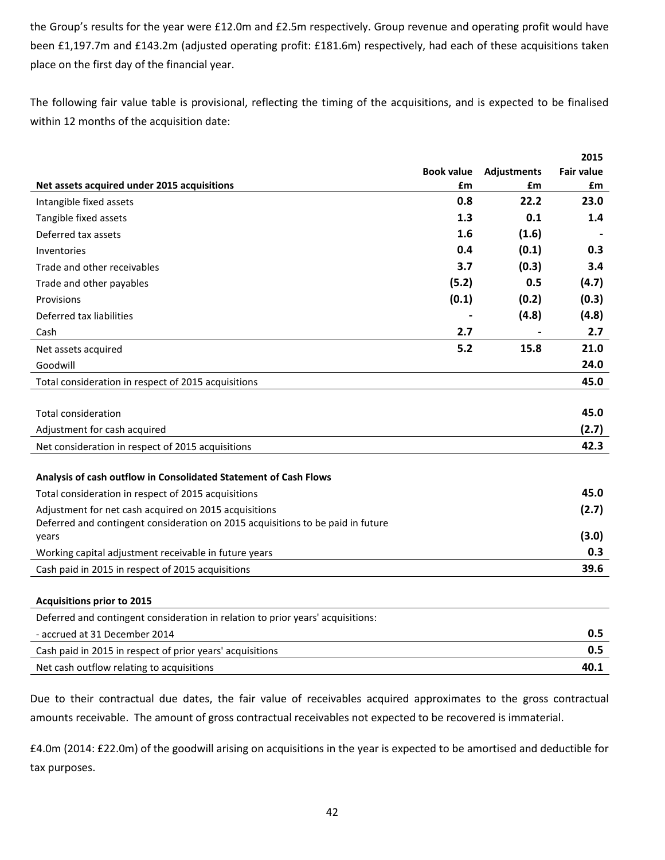the Group's results for the year were £12.0m and £2.5m respectively. Group revenue and operating profit would have been £1,197.7m and £143.2m (adjusted operating profit: £181.6m) respectively, had each of these acquisitions taken place on the first day of the financial year.

The following fair value table is provisional, reflecting the timing of the acquisitions, and is expected to be finalised within 12 months of the acquisition date:

|                                                                                 |                   |                    | 2015              |
|---------------------------------------------------------------------------------|-------------------|--------------------|-------------------|
|                                                                                 | <b>Book value</b> | <b>Adjustments</b> | <b>Fair value</b> |
| Net assets acquired under 2015 acquisitions                                     | £m                | £m                 | £m                |
| Intangible fixed assets                                                         | 0.8               | 22.2               | 23.0              |
| Tangible fixed assets                                                           | 1.3               | 0.1                | 1.4               |
| Deferred tax assets                                                             | 1.6               | (1.6)              |                   |
| Inventories                                                                     | 0.4               | (0.1)              | 0.3               |
| Trade and other receivables                                                     | 3.7               | (0.3)              | 3.4               |
| Trade and other payables                                                        | (5.2)             | 0.5                | (4.7)             |
| Provisions                                                                      | (0.1)             | (0.2)              | (0.3)             |
| Deferred tax liabilities                                                        |                   | (4.8)              | (4.8)             |
| Cash                                                                            | 2.7               |                    | 2.7               |
| Net assets acquired                                                             | 5.2               | 15.8               | 21.0              |
| Goodwill                                                                        |                   |                    | 24.0              |
| Total consideration in respect of 2015 acquisitions                             |                   |                    | 45.0              |
|                                                                                 |                   |                    |                   |
| <b>Total consideration</b>                                                      |                   |                    | 45.0              |
| Adjustment for cash acquired                                                    |                   |                    | (2.7)             |
| Net consideration in respect of 2015 acquisitions                               |                   |                    | 42.3              |
|                                                                                 |                   |                    |                   |
| Analysis of cash outflow in Consolidated Statement of Cash Flows                |                   |                    |                   |
| Total consideration in respect of 2015 acquisitions                             |                   |                    | 45.0              |
| Adjustment for net cash acquired on 2015 acquisitions                           |                   |                    | (2.7)             |
| Deferred and contingent consideration on 2015 acquisitions to be paid in future |                   |                    |                   |
| years                                                                           |                   |                    | (3.0)             |
| Working capital adjustment receivable in future years                           |                   |                    | 0.3               |
| Cash paid in 2015 in respect of 2015 acquisitions                               |                   |                    | 39.6              |
|                                                                                 |                   |                    |                   |
| <b>Acquisitions prior to 2015</b>                                               |                   |                    |                   |

| Deferred and contingent consideration in relation to prior years' acquisitions: |      |
|---------------------------------------------------------------------------------|------|
| - accrued at 31 December 2014                                                   | 0.5  |
| Cash paid in 2015 in respect of prior years' acquisitions                       | 0.5  |
| Net cash outflow relating to acquisitions                                       | 40.1 |

Due to their contractual due dates, the fair value of receivables acquired approximates to the gross contractual amounts receivable. The amount of gross contractual receivables not expected to be recovered is immaterial.

£4.0m (2014: £22.0m) of the goodwill arising on acquisitions in the year is expected to be amortised and deductible for tax purposes.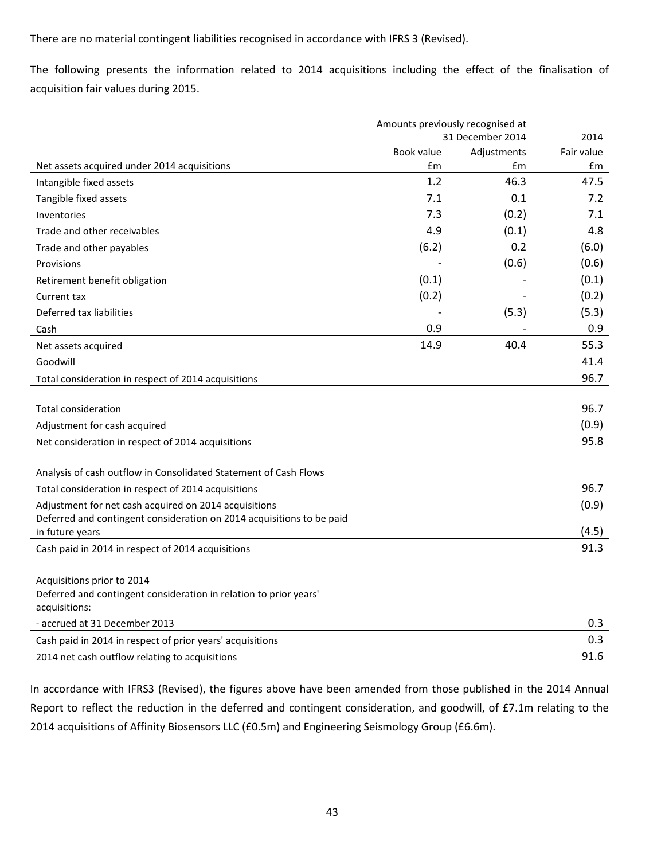There are no material contingent liabilities recognised in accordance with IFRS 3 (Revised).

The following presents the information related to 2014 acquisitions including the effect of the finalisation of acquisition fair values during 2015.

|                                                                                    | Amounts previously recognised at |             |            |
|------------------------------------------------------------------------------------|----------------------------------|-------------|------------|
|                                                                                    | 31 December 2014                 |             | 2014       |
|                                                                                    | Book value                       | Adjustments | Fair value |
| Net assets acquired under 2014 acquisitions                                        | Em                               | £m          | £m         |
| Intangible fixed assets                                                            | 1.2                              | 46.3        | 47.5       |
| Tangible fixed assets                                                              | 7.1                              | 0.1         | 7.2        |
| Inventories                                                                        | 7.3                              | (0.2)       | 7.1        |
| Trade and other receivables                                                        | 4.9                              | (0.1)       | 4.8        |
| Trade and other payables                                                           | (6.2)                            | 0.2         | (6.0)      |
| Provisions                                                                         |                                  | (0.6)       | (0.6)      |
| Retirement benefit obligation                                                      | (0.1)                            |             | (0.1)      |
| Current tax                                                                        | (0.2)                            |             | (0.2)      |
| Deferred tax liabilities                                                           |                                  | (5.3)       | (5.3)      |
| Cash                                                                               | 0.9                              |             | 0.9        |
| Net assets acquired                                                                | 14.9                             | 40.4        | 55.3       |
| Goodwill                                                                           |                                  |             | 41.4       |
| Total consideration in respect of 2014 acquisitions                                |                                  |             | 96.7       |
| <b>Total consideration</b>                                                         |                                  |             | 96.7       |
| Adjustment for cash acquired                                                       |                                  |             | (0.9)      |
| Net consideration in respect of 2014 acquisitions                                  |                                  |             | 95.8       |
| Analysis of cash outflow in Consolidated Statement of Cash Flows                   |                                  |             |            |
| Total consideration in respect of 2014 acquisitions                                |                                  |             | 96.7       |
| Adjustment for net cash acquired on 2014 acquisitions                              |                                  |             | (0.9)      |
| Deferred and contingent consideration on 2014 acquisitions to be paid              |                                  |             |            |
| in future years                                                                    |                                  |             | (4.5)      |
| Cash paid in 2014 in respect of 2014 acquisitions                                  |                                  |             | 91.3       |
|                                                                                    |                                  |             |            |
| Acquisitions prior to 2014                                                         |                                  |             |            |
| Deferred and contingent consideration in relation to prior years'<br>acquisitions: |                                  |             |            |
| - accrued at 31 December 2013                                                      |                                  |             | 0.3        |
| Cash paid in 2014 in respect of prior years' acquisitions                          |                                  |             | 0.3        |
| 2014 net cash outflow relating to acquisitions                                     |                                  |             | 91.6       |

In accordance with IFRS3 (Revised), the figures above have been amended from those published in the 2014 Annual Report to reflect the reduction in the deferred and contingent consideration, and goodwill, of £7.1m relating to the 2014 acquisitions of Affinity Biosensors LLC (£0.5m) and Engineering Seismology Group (£6.6m).